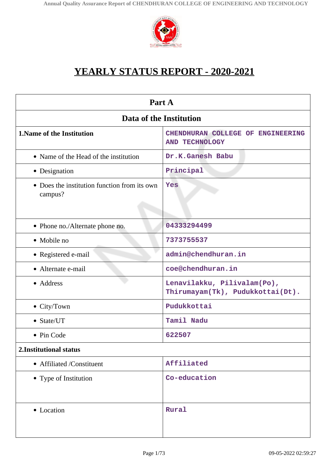

# **YEARLY STATUS REPORT - 2020-2021**

| Part A                                                  |                                                                 |  |
|---------------------------------------------------------|-----------------------------------------------------------------|--|
| Data of the Institution                                 |                                                                 |  |
| 1. Name of the Institution                              | CHENDHURAN COLLEGE OF ENGINEERING<br><b>AND TECHNOLOGY</b>      |  |
| • Name of the Head of the institution                   | Dr.K.Ganesh Babu                                                |  |
| • Designation                                           | Principal                                                       |  |
| • Does the institution function from its own<br>campus? | Yes                                                             |  |
| • Phone no./Alternate phone no.                         | 04333294499                                                     |  |
| • Mobile no                                             | 7373755537                                                      |  |
| • Registered e-mail                                     | admin@chendhuran.in                                             |  |
| • Alternate e-mail                                      | coe@chendhuran.in                                               |  |
| • Address                                               | Lenavilakku, Pilivalam(Po),<br>Thirumayam(Tk), Pudukkottai(Dt). |  |
| • City/Town                                             | Pudukkottai                                                     |  |
| • State/UT                                              | Tamil Nadu                                                      |  |
| • Pin Code                                              | 622507                                                          |  |
| 2. Institutional status                                 |                                                                 |  |
| • Affiliated /Constituent                               | Affiliated                                                      |  |
| • Type of Institution                                   | Co-education                                                    |  |
| • Location                                              | Rural                                                           |  |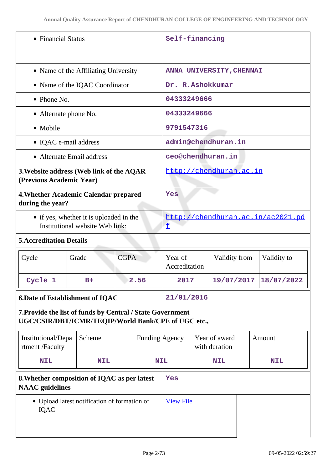| • Financial Status                     |                                                                                                                   | Self-financing        |                     |               |                                |  |                                   |
|----------------------------------------|-------------------------------------------------------------------------------------------------------------------|-----------------------|---------------------|---------------|--------------------------------|--|-----------------------------------|
|                                        | • Name of the Affiliating University                                                                              |                       |                     |               | ANNA UNIVERSITY, CHENNAI       |  |                                   |
|                                        | • Name of the IQAC Coordinator                                                                                    |                       | Dr. R.Ashokkumar    |               |                                |  |                                   |
| $\bullet$ Phone No.                    |                                                                                                                   |                       | 04333249666         |               |                                |  |                                   |
| • Alternate phone No.                  |                                                                                                                   |                       | 04333249666         |               |                                |  |                                   |
| • Mobile                               |                                                                                                                   |                       | 9791547316          |               |                                |  |                                   |
| • IQAC e-mail address                  |                                                                                                                   |                       | admin@chendhuran.in |               |                                |  |                                   |
| • Alternate Email address              |                                                                                                                   |                       | ceo@chendhuran.in   |               |                                |  |                                   |
| (Previous Academic Year)               | 3. Website address (Web link of the AQAR                                                                          |                       |                     |               | http://chendhuran.ac.in        |  |                                   |
| during the year?                       | 4. Whether Academic Calendar prepared                                                                             |                       | Yes                 |               |                                |  |                                   |
|                                        | • if yes, whether it is uploaded in the<br>Institutional website Web link:                                        |                       | £                   |               |                                |  | http://chendhuran.ac.in/ac2021.pd |
| <b>5. Accreditation Details</b>        |                                                                                                                   |                       |                     |               |                                |  |                                   |
| Cycle                                  | Grade                                                                                                             | <b>CGPA</b>           |                     | Accreditation | Validity from                  |  | Validity to                       |
| Cycle 1                                | $B+$                                                                                                              | 2.56                  | 2017                |               |                                |  | 19/07/2017 18/07/2022             |
| <b>6.Date of Establishment of IQAC</b> |                                                                                                                   | 21/01/2016            |                     |               |                                |  |                                   |
|                                        | 7. Provide the list of funds by Central / State Government<br>UGC/CSIR/DBT/ICMR/TEQIP/World Bank/CPE of UGC etc., |                       |                     |               |                                |  |                                   |
| Institutional/Depa<br>rtment /Faculty  | Scheme                                                                                                            | <b>Funding Agency</b> |                     |               | Year of award<br>with duration |  | Amount                            |
| <b>NIL</b>                             | <b>NIL</b>                                                                                                        | <b>NIL</b>            |                     | <b>NIL</b>    |                                |  | <b>NIL</b>                        |
| <b>NAAC</b> guidelines                 | 8. Whether composition of IQAC as per latest                                                                      |                       | Yes                 |               |                                |  |                                   |
| <b>IQAC</b>                            | • Upload latest notification of formation of                                                                      |                       | <b>View File</b>    |               |                                |  |                                   |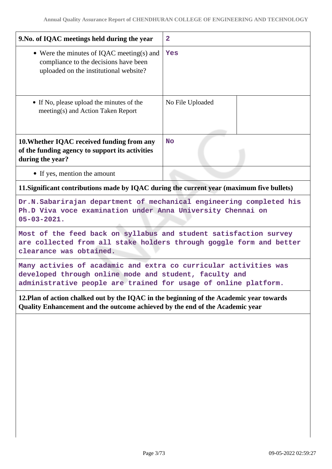| 9. No. of IQAC meetings held during the year                                                                                                                                                  | $\overline{\mathbf{2}}$ |  |
|-----------------------------------------------------------------------------------------------------------------------------------------------------------------------------------------------|-------------------------|--|
| • Were the minutes of IQAC meeting(s) and<br>compliance to the decisions have been<br>uploaded on the institutional website?                                                                  | Yes                     |  |
| • If No, please upload the minutes of the<br>meeting(s) and Action Taken Report                                                                                                               | No File Uploaded        |  |
| 10. Whether IQAC received funding from any<br>of the funding agency to support its activities<br>during the year?                                                                             | <b>No</b>               |  |
| • If yes, mention the amount                                                                                                                                                                  |                         |  |
| 11. Significant contributions made by IQAC during the current year (maximum five bullets)                                                                                                     |                         |  |
| Dr.N.Sabarirajan department of mechanical engineering completed his<br>Ph.D Viva voce examination under Anna University Chennai on<br>$05 - 03 - 2021.$                                       |                         |  |
| Most of the feed back on syllabus and student satisfaction survey<br>are collected from all stake holders through goggle form and better<br>clearance was obtained.                           |                         |  |
| Many activies of acadamic and extra co curricular activities was<br>developed through online mode and student, faculty and<br>administrative people are trained for usage of online platform. |                         |  |
| 12. Plan of action chalked out by the IQAC in the beginning of the Academic year towards<br>Quality Enhancement and the outcome achieved by the end of the Academic year                      |                         |  |
|                                                                                                                                                                                               |                         |  |
|                                                                                                                                                                                               |                         |  |
|                                                                                                                                                                                               |                         |  |
|                                                                                                                                                                                               |                         |  |
|                                                                                                                                                                                               |                         |  |
|                                                                                                                                                                                               |                         |  |
|                                                                                                                                                                                               |                         |  |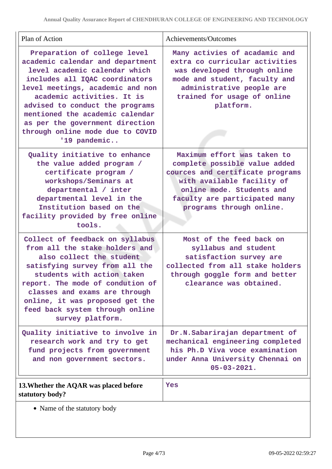| Plan of Action                                                                                                                                                                                                                                                                                                                                                     | Achievements/Outcomes                                                                                                                                                                                                    |
|--------------------------------------------------------------------------------------------------------------------------------------------------------------------------------------------------------------------------------------------------------------------------------------------------------------------------------------------------------------------|--------------------------------------------------------------------------------------------------------------------------------------------------------------------------------------------------------------------------|
| Preparation of college level<br>academic calendar and department<br>level academic calendar which<br>includes all IQAC coordinators<br>level meetings, academic and non<br>academic activities. It is<br>advised to conduct the programs<br>mentioned the academic calendar<br>as per the government direction<br>through online mode due to COVID<br>'19 pandemic | Many activies of acadamic and<br>extra co curricular activities<br>was developed through online<br>mode and student, faculty and<br>administrative people are<br>trained for usage of online<br>platform.                |
| Quality initiative to enhance<br>the value added program /<br>certificate program /<br>workshops/Seminars at<br>departmental / inter<br>departmental level in the<br>Institution based on the<br>facility provided by free online<br>tools.                                                                                                                        | Maximum effort was taken to<br>complete possible value added<br>cources and certificate programs<br>with available facility of<br>online mode. Students and<br>faculty are participated many<br>programs through online. |
| Collect of feedback on syllabus<br>from all the stake holders and<br>also collect the student<br>satisfying survey from all the<br>students with action taken<br>report. The mode of condution of<br>classes and exams are through<br>online, it was proposed get the<br>feed back system through online<br>survey platform.                                       | Most of the feed back on<br>syllabus and student<br>satisfaction survey are<br>collected from all stake holders<br>through goggle form and better<br>clearance was obtained.                                             |
| Quality initiative to involve in<br>research work and try to get<br>fund projects from government<br>and non government sectors.                                                                                                                                                                                                                                   | Dr.N.Sabarirajan department of<br>mechanical engineering completed<br>his Ph.D Viva voce examination<br>under Anna University Chennai on<br>$05 - 03 - 2021.$                                                            |
| 13. Whether the AQAR was placed before<br>statutory body?                                                                                                                                                                                                                                                                                                          | Yes                                                                                                                                                                                                                      |

Name of the statutory body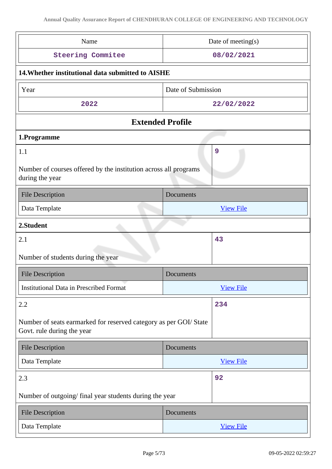| Name                                                                                           | Date of meeting(s) |  |
|------------------------------------------------------------------------------------------------|--------------------|--|
| <b>Steering Commitee</b>                                                                       | 08/02/2021         |  |
| 14. Whether institutional data submitted to AISHE                                              |                    |  |
| Year                                                                                           | Date of Submission |  |
| 2022                                                                                           | 22/02/2022         |  |
| <b>Extended Profile</b>                                                                        |                    |  |
| 1.Programme                                                                                    |                    |  |
| 1.1<br>Number of courses offered by the institution across all programs<br>during the year     | 9                  |  |
| <b>File Description</b>                                                                        | <b>Documents</b>   |  |
| Data Template                                                                                  | <b>View File</b>   |  |
| 2.Student                                                                                      |                    |  |
| 2.1                                                                                            | 43                 |  |
| Number of students during the year                                                             |                    |  |
| <b>File Description</b>                                                                        | Documents          |  |
| <b>Institutional Data in Prescribed Format</b>                                                 | <b>View File</b>   |  |
| 2.2                                                                                            | 234                |  |
| Number of seats earmarked for reserved category as per GOI/State<br>Govt. rule during the year |                    |  |
| <b>File Description</b>                                                                        | Documents          |  |
| Data Template                                                                                  | <b>View File</b>   |  |
| 2.3                                                                                            | 92                 |  |
| Number of outgoing/final year students during the year                                         |                    |  |
| <b>File Description</b>                                                                        | Documents          |  |
| Data Template                                                                                  | <b>View File</b>   |  |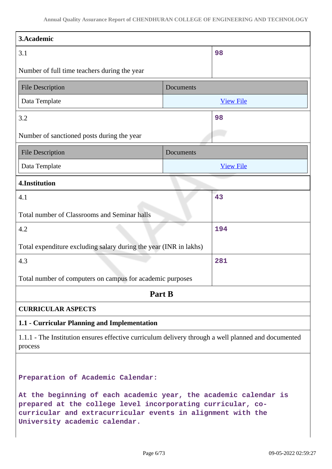| 3.Academic                                                                                                                                                                                                                      |           |                  |
|---------------------------------------------------------------------------------------------------------------------------------------------------------------------------------------------------------------------------------|-----------|------------------|
| 3.1                                                                                                                                                                                                                             |           | 98               |
| Number of full time teachers during the year                                                                                                                                                                                    |           |                  |
| <b>File Description</b>                                                                                                                                                                                                         | Documents |                  |
| Data Template                                                                                                                                                                                                                   |           | <b>View File</b> |
| 3.2                                                                                                                                                                                                                             |           | 98               |
| Number of sanctioned posts during the year                                                                                                                                                                                      |           |                  |
| <b>File Description</b>                                                                                                                                                                                                         | Documents |                  |
| Data Template                                                                                                                                                                                                                   |           | <b>View File</b> |
| 4.Institution                                                                                                                                                                                                                   |           |                  |
| 4.1                                                                                                                                                                                                                             |           | 43               |
| Total number of Classrooms and Seminar halls                                                                                                                                                                                    |           |                  |
| 4.2                                                                                                                                                                                                                             |           | 194              |
| Total expenditure excluding salary during the year (INR in lakhs)                                                                                                                                                               |           |                  |
| 4.3                                                                                                                                                                                                                             |           | 281              |
| Total number of computers on campus for academic purposes                                                                                                                                                                       |           |                  |
| Part B                                                                                                                                                                                                                          |           |                  |
| <b>CURRICULAR ASPECTS</b>                                                                                                                                                                                                       |           |                  |
| 1.1 - Curricular Planning and Implementation                                                                                                                                                                                    |           |                  |
| 1.1.1 - The Institution ensures effective curriculum delivery through a well planned and documented<br>process                                                                                                                  |           |                  |
| Preparation of Academic Calendar:                                                                                                                                                                                               |           |                  |
| At the beginning of each academic year, the academic calendar is<br>prepared at the college level incorporating curricular, co-<br>curricular and extracurricular events in alignment with the<br>University academic calendar. |           |                  |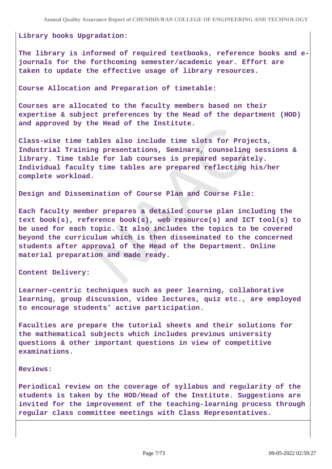#### **Library books Upgradation:**

**The library is informed of required textbooks, reference books and ejournals for the forthcoming semester/academic year. Effort are taken to update the effective usage of library resources.**

**Course Allocation and Preparation of timetable:**

**Courses are allocated to the faculty members based on their expertise & subject preferences by the Head of the department (HOD) and approved by the Head of the Institute.**

**Class-wise time tables also include time slots for Projects, Industrial Training presentations, Seminars, counseling sessions & library. Time table for lab courses is prepared separately. Individual faculty time tables are prepared reflecting his/her complete workload.**

**Design and Dissemination of Course Plan and Course File:**

**Each faculty member prepares a detailed course plan including the text book(s), reference book(s), web resource(s) and ICT tool(s) to be used for each topic. It also includes the topics to be covered beyond the curriculum which is then disseminated to the concerned students after approval of the Head of the Department. Online material preparation and made ready.**

**Content Delivery:** 

**Learner-centric techniques such as peer learning, collaborative learning, group discussion, video lectures, quiz etc., are employed to encourage students' active participation.**

**Faculties are prepare the tutorial sheets and their solutions for the mathematical subjects which includes previous university questions & other important questions in view of competitive examinations.**

#### **Reviews:**

**Periodical review on the coverage of syllabus and regularity of the students is taken by the HOD/Head of the Institute. Suggestions are invited for the improvement of the teaching-learning process through regular class committee meetings with Class Representatives.**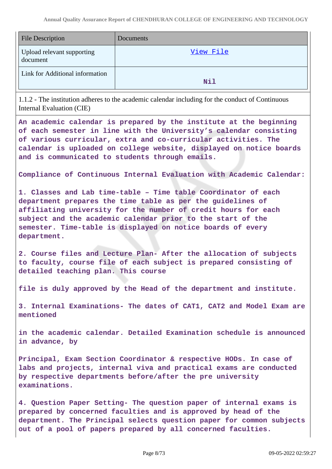| <b>File Description</b>                | Documents |
|----------------------------------------|-----------|
| Upload relevant supporting<br>document | View File |
| Link for Additional information        | Nil       |

1.1.2 - The institution adheres to the academic calendar including for the conduct of Continuous Internal Evaluation (CIE)

**An academic calendar is prepared by the institute at the beginning of each semester in line with the University's calendar consisting of various curricular, extra and co-curricular activities. The calendar is uploaded on college website, displayed on notice boards and is communicated to students through emails.**

**Compliance of Continuous Internal Evaluation with Academic Calendar:**

**1. Classes and Lab time-table – Time table Coordinator of each department prepares the time table as per the guidelines of affiliating university for the number of credit hours for each subject and the academic calendar prior to the start of the semester. Time-table is displayed on notice boards of every department.**

**2. Course files and Lecture Plan- After the allocation of subjects to faculty, course file of each subject is prepared consisting of detailed teaching plan. This course**

**file is duly approved by the Head of the department and institute.**

**3. Internal Examinations- The dates of CAT1, CAT2 and Model Exam are mentioned**

**in the academic calendar. Detailed Examination schedule is announced in advance, by**

**Principal, Exam Section Coordinator & respective HODs. In case of labs and projects, internal viva and practical exams are conducted by respective departments before/after the pre university examinations.**

**4. Question Paper Setting- The question paper of internal exams is prepared by concerned faculties and is approved by head of the department. The Principal selects question paper for common subjects out of a pool of papers prepared by all concerned faculties.**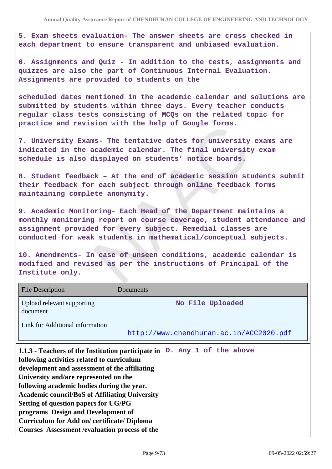**5. Exam sheets evaluation- The answer sheets are cross checked in each department to ensure transparent and unbiased evaluation.**

**6. Assignments and Quiz - In addition to the tests, assignments and quizzes are also the part of Continuous Internal Evaluation. Assignments are provided to students on the**

**scheduled dates mentioned in the academic calendar and solutions are submitted by students within three days. Every teacher conducts regular class tests consisting of MCQs on the related topic for practice and revision with the help of Google forms.**

**7. University Exams- The tentative dates for university exams are indicated in the academic calendar. The final university exam schedule is also displayed on students' notice boards.**

**8. Student feedback – At the end of academic session students submit their feedback for each subject through online feedback forms maintaining complete anonymity.**

**9. Academic Monitoring- Each Head of the Department maintains a monthly monitoring report on course coverage, student attendance and assignment provided for every subject. Remedial classes are conducted for weak students in mathematical/conceptual subjects.**

**10. Amendments- In case of unseen conditions, academic calendar is modified and revised as per the instructions of Principal of the Institute only.**

| <b>File Description</b>                                                                                                                                                                                                                                                                                                                                                                                                                                                               | Documents                               |  |  |
|---------------------------------------------------------------------------------------------------------------------------------------------------------------------------------------------------------------------------------------------------------------------------------------------------------------------------------------------------------------------------------------------------------------------------------------------------------------------------------------|-----------------------------------------|--|--|
| Upload relevant supporting<br>document                                                                                                                                                                                                                                                                                                                                                                                                                                                | No File Uploaded                        |  |  |
| Link for Additional information                                                                                                                                                                                                                                                                                                                                                                                                                                                       | http://www.chendhuran.ac.in/ACC2020.pdf |  |  |
| 1.1.3 - Teachers of the Institution participate in<br>following activities related to curriculum<br>development and assessment of the affiliating<br>University and/are represented on the<br>following academic bodies during the year.<br><b>Academic council/BoS of Affiliating University</b><br>Setting of question papers for UG/PG<br>programs Design and Development of<br><b>Curriculum for Add on/certificate/Diploma</b><br>Courses Assessment / evaluation process of the | D. Any 1 of the above                   |  |  |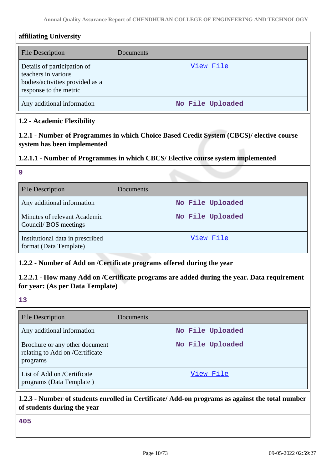**Annual Quality Assurance Report of CHENDHURAN COLLEGE OF ENGINEERING AND TECHNOLOGY**

| <b>File Description</b>                                                                                         | Documents                                                                                   |
|-----------------------------------------------------------------------------------------------------------------|---------------------------------------------------------------------------------------------|
| Details of participation of<br>teachers in various<br>bodies/activities provided as a<br>response to the metric | View File                                                                                   |
| Any additional information                                                                                      | No File Uploaded                                                                            |
| 1.2 - Academic Flexibility                                                                                      |                                                                                             |
| system has been implemented                                                                                     | 1.2.1 - Number of Programmes in which Choice Based Credit System (CBCS)/ elective course    |
|                                                                                                                 | 1.2.1.1 - Number of Programmes in which CBCS/ Elective course system implemented            |
| 9                                                                                                               |                                                                                             |
| <b>File Description</b>                                                                                         | Documents                                                                                   |
| Any additional information                                                                                      | No File Uploaded                                                                            |
| Minutes of relevant Academic<br>Council/BOS meetings                                                            | No File Uploaded                                                                            |
| Institutional data in prescribed<br>format (Data Template)                                                      | View File                                                                                   |
|                                                                                                                 | 1.2.2 - Number of Add on /Certificate programs offered during the year                      |
| for year: (As per Data Template)                                                                                | 1.2.2.1 - How many Add on /Certificate programs are added during the year. Data requirement |
| 13                                                                                                              |                                                                                             |
| <b>File Description</b>                                                                                         | Documents                                                                                   |
| Any additional information                                                                                      | No File Uploaded                                                                            |
| Brochure or any other document<br>relating to Add on /Certificate<br>programs                                   | No File Uploaded                                                                            |
| List of Add on /Certificate<br>programs (Data Template)                                                         | View File                                                                                   |

**405**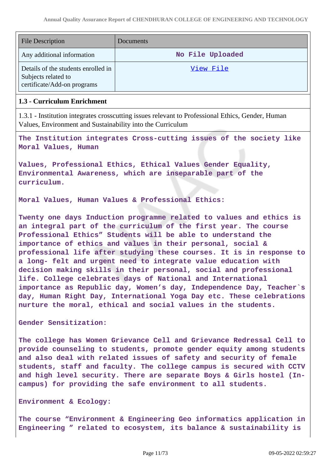| <b>File Description</b>                                                                   | Documents        |
|-------------------------------------------------------------------------------------------|------------------|
| Any additional information                                                                | No File Uploaded |
| Details of the students enrolled in<br>Subjects related to<br>certificate/Add-on programs | View File        |

### **1.3 - Curriculum Enrichment**

1.3.1 - Institution integrates crosscutting issues relevant to Professional Ethics, Gender, Human Values, Environment and Sustainability into the Curriculum

**The Institution integrates Cross-cutting issues of the society like Moral Values, Human**

**Values, Professional Ethics, Ethical Values Gender Equality, Environmental Awareness, which are inseparable part of the curriculum.**

**Moral Values, Human Values & Professional Ethics:**

**Twenty one days Induction programme related to values and ethics is an integral part of the curriculum of the first year. The course Professional Ethics" Students will be able to understand the importance of ethics and values in their personal, social & professional life after studying these courses. It is in response to a long- felt and urgent need to integrate value education with decision making skills in their personal, social and professional life. College celebrates days of National and International importance as Republic day, Women's day, Independence Day, Teacher`s day, Human Right Day, International Yoga Day etc. These celebrations nurture the moral, ethical and social values in the students.**

**Gender Sensitization:**

**The college has Women Grievance Cell and Grievance Redressal Cell to provide counseling to students, promote gender equity among students and also deal with related issues of safety and security of female students, staff and faculty. The college campus is secured with CCTV and high level security. There are separate Boys & Girls hostel (Incampus) for providing the safe environment to all students.**

#### **Environment & Ecology:**

**The course "Environment & Engineering Geo informatics application in Engineering " related to ecosystem, its balance & sustainability is**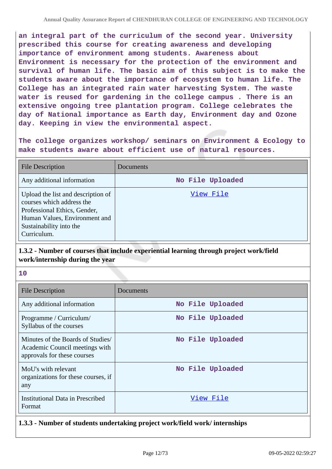**an integral part of the curriculum of the second year. University prescribed this course for creating awareness and developing importance of environment among students. Awareness about Environment is necessary for the protection of the environment and survival of human life. The basic aim of this subject is to make the students aware about the importance of ecosystem to human life. The College has an integrated rain water harvesting System. The waste water is reused for gardening in the college campus . There is an extensive ongoing tree plantation program. College celebrates the day of National importance as Earth day, Environment day and Ozone day. Keeping in view the environmental aspect.**

**The college organizes workshop/ seminars on Environment & Ecology to make students aware about efficient use of natural resources.**

| <b>File Description</b>                                                                                                                                                    | <b>Documents</b> |
|----------------------------------------------------------------------------------------------------------------------------------------------------------------------------|------------------|
| Any additional information                                                                                                                                                 | No File Uploaded |
| Upload the list and description of<br>courses which address the<br>Professional Ethics, Gender,<br>Human Values, Environment and<br>Sustainability into the<br>Curriculum. | View File        |

# **1.3.2 - Number of courses that include experiential learning through project work/field work/internship during the year**

**10**

| File Description                                                                                   | Documents        |
|----------------------------------------------------------------------------------------------------|------------------|
| Any additional information                                                                         | No File Uploaded |
| Programme / Curriculum/<br>Syllabus of the courses                                                 | No File Uploaded |
| Minutes of the Boards of Studies/<br>Academic Council meetings with<br>approvals for these courses | No File Uploaded |
| MoU's with relevant<br>organizations for these courses, if<br>any                                  | No File Uploaded |
| Institutional Data in Prescribed<br>Format                                                         | View File        |

# **1.3.3 - Number of students undertaking project work/field work/ internships**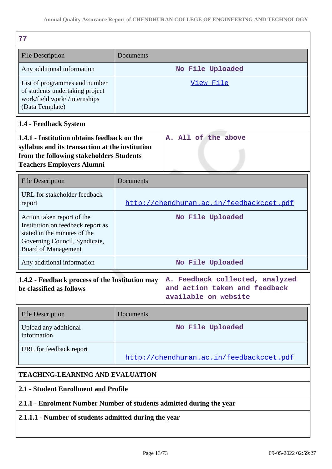| 77                                                                                                                                                                                                    |                                          |                                          |
|-------------------------------------------------------------------------------------------------------------------------------------------------------------------------------------------------------|------------------------------------------|------------------------------------------|
| <b>File Description</b>                                                                                                                                                                               | Documents                                |                                          |
| Any additional information                                                                                                                                                                            |                                          | No File Uploaded                         |
| List of programmes and number<br>of students undertaking project<br>work/field work//internships<br>(Data Template)                                                                                   |                                          | View File                                |
| 1.4 - Feedback System                                                                                                                                                                                 |                                          |                                          |
| 1.4.1 - Institution obtains feedback on the<br>A. All of the above<br>syllabus and its transaction at the institution<br>from the following stakeholders Students<br><b>Teachers Employers Alumni</b> |                                          |                                          |
| <b>File Description</b>                                                                                                                                                                               | Documents                                |                                          |
| URL for stakeholder feedback<br>report                                                                                                                                                                |                                          | http://chendhuran.ac.in/feedbackccet.pdf |
| Action taken report of the<br>Institution on feedback report as<br>stated in the minutes of the<br>Governing Council, Syndicate,<br><b>Board of Management</b>                                        |                                          | No File Uploaded                         |
| Any additional information                                                                                                                                                                            |                                          | No File Uploaded                         |
| 1.4.2 - Feedback process of the Institution may<br>A. Feedback collected, analyzed<br>be classified as follows<br>and action taken and feedback<br>available on website                               |                                          |                                          |
| <b>File Description</b>                                                                                                                                                                               | Documents                                |                                          |
| Upload any additional<br>information                                                                                                                                                                  |                                          | No File Uploaded                         |
| URL for feedback report                                                                                                                                                                               | http://chendhuran.ac.in/feedbackccet.pdf |                                          |
| <b>TEACHING-LEARNING AND EVALUATION</b>                                                                                                                                                               |                                          |                                          |
| 2.1 - Student Enrollment and Profile                                                                                                                                                                  |                                          |                                          |
| 2.1.1 - Enrolment Number Number of students admitted during the year                                                                                                                                  |                                          |                                          |

# **2.1.1.1 - Number of students admitted during the year**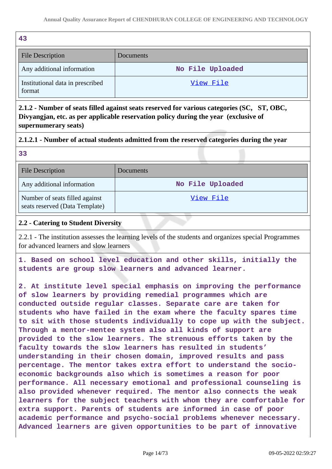| 43                                         |                  |
|--------------------------------------------|------------------|
| <b>File Description</b>                    | Documents        |
| Any additional information                 | No File Uploaded |
| Institutional data in prescribed<br>format | View File        |

**2.1.2 - Number of seats filled against seats reserved for various categories (SC, ST, OBC, Divyangjan, etc. as per applicable reservation policy during the year (exclusive of supernumerary seats)**

# **2.1.2.1 - Number of actual students admitted from the reserved categories during the year**

| <b>File Description</b>                                          | Documents        |
|------------------------------------------------------------------|------------------|
| Any additional information                                       | No File Uploaded |
| Number of seats filled against<br>seats reserved (Data Template) | View File        |

### **2.2 - Catering to Student Diversity**

**33**

2.2.1 - The institution assesses the learning levels of the students and organizes special Programmes for advanced learners and slow learners

**1. Based on school level education and other skills, initially the students are group slow learners and advanced learner.**

**2. At institute level special emphasis on improving the performance of slow learners by providing remedial programmes which are conducted outside regular classes. Separate care are taken for students who have failed in the exam where the faculty spares time to sit with those students individually to cope up with the subject. Through a mentor-mentee system also all kinds of support are provided to the slow learners. The strenuous efforts taken by the faculty towards the slow learners has resulted in students' understanding in their chosen domain, improved results and pass percentage. The mentor takes extra effort to understand the socioeconomic backgrounds also which is sometimes a reason for poor performance. All necessary emotional and professional counseling is also provided whenever required. The mentor also connects the weak learners for the subject teachers with whom they are comfortable for extra support. Parents of students are informed in case of poor academic performance and psycho-social problems whenever necessary. Advanced learners are given opportunities to be part of innovative**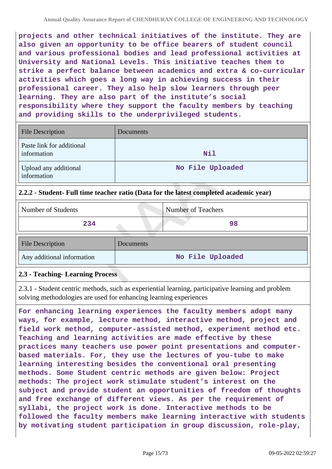**projects and other technical initiatives of the institute. They are also given an opportunity to be office bearers of student council and various professional bodies and lead professional activities at University and National Levels. This initiative teaches them to strike a perfect balance between academics and extra & co-curricular activities which goes a long way in achieving success in their professional career. They also help slow learners through peer learning. They are also part of the institute's social responsibility where they support the faculty members by teaching and providing skills to the underprivileged students.**

| <b>File Description</b>                  | <b>Documents</b> |
|------------------------------------------|------------------|
| Paste link for additional<br>information | Nil              |
| Upload any additional<br>information     | No File Uploaded |

# **2.2.2 - Student- Full time teacher ratio (Data for the latest completed academic year)**

| Number of Students         |           | <b>Number of Teachers</b> |
|----------------------------|-----------|---------------------------|
| 234                        |           | 98                        |
| <b>File Description</b>    | Documents |                           |
| Any additional information |           | No File Uploaded          |

# **2.3 - Teaching- Learning Process**

2.3.1 - Student centric methods, such as experiential learning, participative learning and problem solving methodologies are used for enhancing learning experiences

**For enhancing learning experiences the faculty members adopt many ways, for example, lecture method, interactive method, project and field work method, computer-assisted method, experiment method etc. Teaching and learning activities are made effective by these practices many teachers use power point presentations and computerbased materials. For, they use the lectures of you-tube to make learning interesting besides the conventional oral presenting methods. Some Student centric methods are given below: Project methods: The project work stimulate student's interest on the subject and provide student an opportunities of freedom of thoughts and free exchange of different views. As per the requirement of syllabi, the project work is done. Interactive methods to be followed the faculty members make learning interactive with students by motivating student participation in group discussion, role-play,**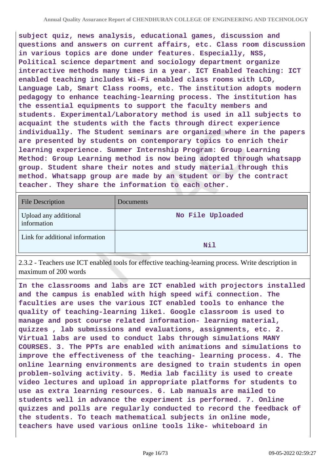**subject quiz, news analysis, educational games, discussion and questions and answers on current affairs, etc. Class room discussion in various topics are done under features. Especially, NSS, Political science department and sociology department organize interactive methods many times in a year. ICT Enabled Teaching: ICT enabled teaching includes Wi-Fi enabled class rooms with LCD, Language Lab, Smart Class rooms, etc. The institution adopts modern pedagogy to enhance teaching-learning process. The institution has the essential equipments to support the faculty members and students. Experimental/Laboratory method is used in all subjects to acquaint the students with the facts through direct experience individually. The Student seminars are organized where in the papers are presented by students on contemporary topics to enrich their learning experience. Summer Internship Program: Group Learning Method: Group Learning method is now being adopted through whatsapp group. Student share their notes and study material through this method. Whatsapp group are made by an student or by the contract teacher. They share the information to each other.**

| <b>File Description</b>              | Documents        |
|--------------------------------------|------------------|
| Upload any additional<br>information | No File Uploaded |
| Link for additional information      | Nil              |

2.3.2 - Teachers use ICT enabled tools for effective teaching-learning process. Write description in maximum of 200 words

**In the classrooms and labs are ICT enabled with projectors installed and the campus is enabled with high speed wifi connection. The faculties are uses the various ICT enabled tools to enhance the quality of teaching-learning like1. Google classroom is used to manage and post course related information- learning material, quizzes , lab submissions and evaluations, assignments, etc. 2. Virtual labs are used to conduct labs through simulations MANY COURSES. 3. The PPTs are enabled with animations and simulations to improve the effectiveness of the teaching- learning process. 4. The online learning environments are designed to train students in open problem-solving activity. 5. Media lab facility is used to create video lectures and upload in appropriate platforms for students to use as extra learning resources. 6. Lab manuals are mailed to students well in advance the experiment is performed. 7. Online quizzes and polls are regularly conducted to record the feedback of the students. To teach mathematical subjects in online mode, teachers have used various online tools like- whiteboard in**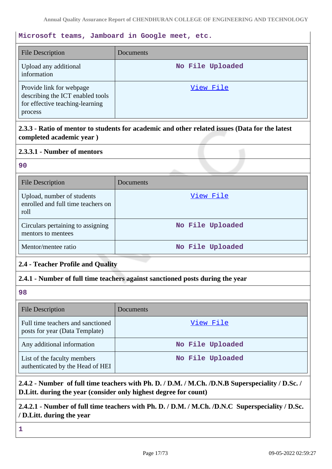# **Microsoft teams, Jamboard in Google meet, etc.**

| <b>File Description</b>                                                                                    | Documents        |
|------------------------------------------------------------------------------------------------------------|------------------|
| Upload any additional<br>information                                                                       | No File Uploaded |
| Provide link for webpage<br>describing the ICT enabled tools<br>for effective teaching-learning<br>process | View File        |

**2.3.3 - Ratio of mentor to students for academic and other related issues (Data for the latest completed academic year )**

### **2.3.3.1 - Number of mentors**

### **90**

| <b>File Description</b>                                                  | Documents        |
|--------------------------------------------------------------------------|------------------|
| Upload, number of students<br>enrolled and full time teachers on<br>roll | View File        |
| Circulars pertaining to assigning<br>mentors to mentees                  | No File Uploaded |
| Mentor/mentee ratio                                                      | No File Uploaded |

# **2.4 - Teacher Profile and Quality**

# **2.4.1 - Number of full time teachers against sanctioned posts during the year**

### **98**

| <b>File Description</b>                                             | Documents        |
|---------------------------------------------------------------------|------------------|
| Full time teachers and sanctioned<br>posts for year (Data Template) | View File        |
| Any additional information                                          | No File Uploaded |
| List of the faculty members<br>authenticated by the Head of HEI     | No File Uploaded |

# **2.4.2 - Number of full time teachers with Ph. D. / D.M. / M.Ch. /D.N.B Superspeciality / D.Sc. / D.Litt. during the year (consider only highest degree for count)**

# **2.4.2.1 - Number of full time teachers with Ph. D. / D.M. / M.Ch. /D.N.C Superspeciality / D.Sc. / D.Litt. during the year**

**1**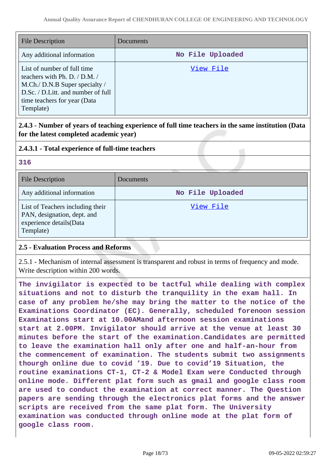| <b>File Description</b>                                                                                                                                                            | Documents        |
|------------------------------------------------------------------------------------------------------------------------------------------------------------------------------------|------------------|
| Any additional information                                                                                                                                                         | No File Uploaded |
| List of number of full time<br>teachers with Ph. D. / D.M. /<br>M.Ch./ D.N.B Super specialty /<br>D.Sc. / D.Litt. and number of full<br>time teachers for year (Data)<br>Template) | View File        |

# **2.4.3 - Number of years of teaching experience of full time teachers in the same institution (Data for the latest completed academic year)**

# **2.4.3.1 - Total experience of full-time teachers**

| 316                                                                                                     |                  |  |
|---------------------------------------------------------------------------------------------------------|------------------|--|
| <b>File Description</b>                                                                                 | Documents        |  |
| Any additional information                                                                              | No File Uploaded |  |
| List of Teachers including their<br>PAN, designation, dept. and<br>experience details(Data<br>Template) | View File        |  |

# **2.5 - Evaluation Process and Reforms**

2.5.1 - Mechanism of internal assessment is transparent and robust in terms of frequency and mode. Write description within 200 words.

**The invigilator is expected to be tactful while dealing with complex situations and not to disturb the tranquility in the exam hall. In case of any problem he/she may bring the matter to the notice of the Examinations Coordinator (EC). Generally, scheduled forenoon session Examinations start at 10.00AMand afternoon session examinations start at 2.00PM. Invigilator should arrive at the venue at least 30 minutes before the start of the examination.Candidates are permitted to leave the examination hall only after one and half-an-hour from the commencement of examination. The students submit two assignments thourgh online due to covid '19. Due to covid'19 Situation, the routine examinations CT-1, CT-2 & Model Exam were Conducted through online mode. Different plat form such as gmail and google class room are used to conduct the examination at correct manner. The Question papers are sending through the electronics plat forms and the answer scripts are received from the same plat form. The University examination was conducted through online mode at the plat form of google class room.**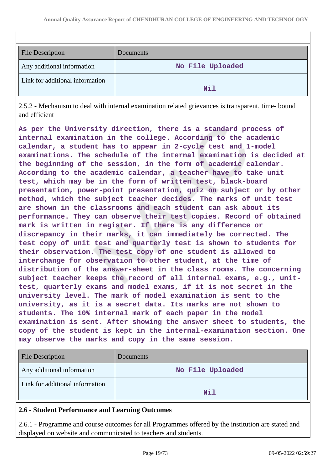| <b>File Description</b>         | Documents        |
|---------------------------------|------------------|
| Any additional information      | No File Uploaded |
| Link for additional information | Nil              |

2.5.2 - Mechanism to deal with internal examination related grievances is transparent, time- bound and efficient

**As per the University direction, there is a standard process of internal examination in the college. According to the academic calendar, a student has to appear in 2-cycle test and 1-model examinations. The schedule of the internal examination is decided at the beginning of the session, in the form of academic calendar. According to the academic calendar, a teacher have to take unit test, which may be in the form of written test, black-board presentation, power-point presentation, quiz on subject or by other method, which the subject teacher decides. The marks of unit test are shown in the classrooms and each student can ask about its performance. They can observe their test copies. Record of obtained mark is written in register. If there is any difference or discrepancy in their marks, it can immediately be corrected. The test copy of unit test and quarterly test is shown to students for their observation. The test copy of one student is allowed to interchange for observation to other student, at the time of distribution of the answer-sheet in the class rooms. The concerning subject teacher keeps the record of all internal exams, e.g., unittest, quarterly exams and model exams, if it is not secret in the university level. The mark of model examination is sent to the university, as it is a secret data. Its marks are not shown to students. The 10% internal mark of each paper in the model examination is sent. After showing the answer sheet to students, the copy of the student is kept in the internal-examination section. One may observe the marks and copy in the same session.**

| <b>File Description</b>                         | Documents        |
|-------------------------------------------------|------------------|
| Any additional information                      | No File Uploaded |
| Link for additional information                 | <b>Nil</b>       |
| 2.6 - Student Performance and Learning Outcomes |                  |

2.6.1 - Programme and course outcomes for all Programmes offered by the institution are stated and displayed on website and communicated to teachers and students.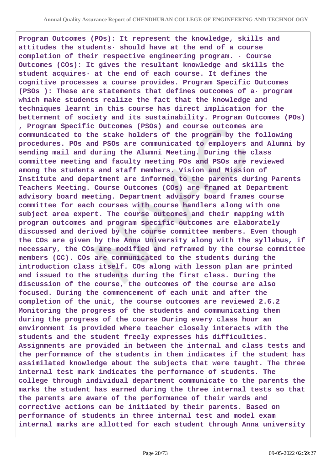**Program Outcomes (POs): It represent the knowledge, skills and attitudes the students· should have at the end of a course completion of their respective engineering program. · Course Outcomes (COs): It gives the resultant knowledge and skills the student acquires· at the end of each course. It defines the cognitive processes a course provides. Program Specific Outcomes (PSOs ): These are statements that defines outcomes of a· program which make students realize the fact that the knowledge and techniques learnt in this course has direct implication for the betterment of society and its sustainability. Program Outcomes (POs) , Program Specific Outcomes (PSOs) and course outcomes are communicated to the stake holders of the program by the following procedures. POs and PSOs are communicated to employers and Alumni by sending mail and during the Alumni Meeting. During the class committee meeting and faculty meeting POs and PSOs are reviewed among the students and staff members. Vision and Mission of Institute and department are informed to the parents during Parents Teachers Meeting. Course Outcomes (COs) are framed at Department advisory board meeting. Department advisory board frames course committee for each courses with course handlers along with one subject area expert. The course outcomes and their mapping with program outcomes and program specific outcomes are elaborately discussed and derived by the course committee members. Even though the COs are given by the Anna University along with the syllabus, if necessary, the COs are modified and reframed by the course committee members (CC). COs are communicated to the students during the introduction class itself. COs along with lesson plan are printed and issued to the students during the first class. During the discussion of the course, the outcomes of the course are also focused. During the commencement of each unit and after the completion of the unit, the course outcomes are reviewed 2.6.2 Monitoring the progress of the students and communicating them during the progress of the course During every class hour an environment is provided where teacher closely interacts with the students and the student freely expresses his difficulties. Assignments are provided in between the internal and class tests and the performance of the students in them indicates if the student has assimilated knowledge about the subjects that were taught. The three internal test mark indicates the performance of students. The college through individual department communicate to the parents the marks the student has earned during the three internal tests so that the parents are aware of the performance of their wards and corrective actions can be initiated by their parents. Based on performance of students in three internal test and model exam internal marks are allotted for each student through Anna university**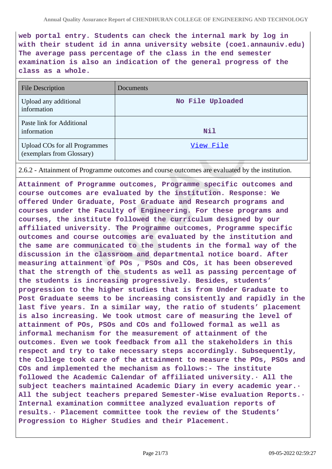**web portal entry. Students can check the internal mark by log in with their student id in anna university website (coe1.annauniv.edu) The average pass percentage of the class in the end semester examination is also an indication of the general progress of the class as a whole.**

| <b>File Description</b>                                           | Documents        |
|-------------------------------------------------------------------|------------------|
| Upload any additional<br>information                              | No File Uploaded |
| Paste link for Additional<br>information                          | Nil              |
| <b>Upload COs for all Programmes</b><br>(exemplars from Glossary) | View File        |

2.6.2 - Attainment of Programme outcomes and course outcomes are evaluated by the institution.

**Attainment of Programme outcomes, Programme specific outcomes and course outcomes are evaluated by the institution. Response: We offered Under Graduate, Post Graduate and Research programs and courses under the Faculty of Engineering. For these programs and courses, the institute followed the curriculum designed by our affiliated university. The Programme outcomes, Programme specific outcomes and course outcomes are evaluated by the institution and the same are communicated to the students in the formal way of the discussion in the classroom and departmental notice board. After measuring attainment of POs , PSOs and COs, it has been obsereved that the strength of the students as well as passing percentage of the students is increasing progressively. Besides, students' progression to the higher studies that is from Under Graduate to Post Graduate seems to be increasing consistently and rapidly in the last five years. In a similar way, the ratio of students' placement is also increasing. We took utmost care of measuring the level of attainment of POs, PSOs and COs and followed formal as well as informal mechanism for the measurement of attainment of the outcomes. Even we took feedback from all the stakeholders in this respect and try to take necessary steps accordingly. Subsequently, the College took care of the attainment to measure the POs, PSOs and COs and implemented the mechanism as follows:- The institute followed the Academic Calendar of affiliated university.· All the subject teachers maintained Academic Diary in every academic year.· All the subject teachers prepared Semester-Wise evaluation Reports.· Internal examination committee analyzed evaluation reports of results.· Placement committee took the review of the Students' Progression to Higher Studies and their Placement.**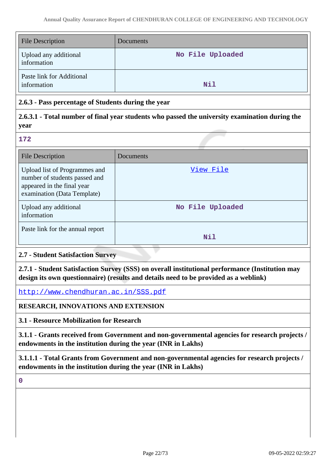| <b>File Description</b>                  | <b>Documents</b> |
|------------------------------------------|------------------|
| Upload any additional<br>information     | No File Uploaded |
| Paste link for Additional<br>information | Nil              |

# **2.6.3 - Pass percentage of Students during the year**

# **2.6.3.1 - Total number of final year students who passed the university examination during the year**

#### **172**

| <b>File Description</b>                                                                                                     | Documents        |
|-----------------------------------------------------------------------------------------------------------------------------|------------------|
| Upload list of Programmes and<br>number of students passed and<br>appeared in the final year<br>examination (Data Template) | View File        |
| Upload any additional<br>information                                                                                        | No File Uploaded |
| Paste link for the annual report                                                                                            | Nil              |

# **2.7 - Student Satisfaction Survey**

**2.7.1 - Student Satisfaction Survey (SSS) on overall institutional performance (Institution may design its own questionnaire) (results and details need to be provided as a weblink)**

<http://www.chendhuran.ac.in/SSS.pdf>

# **RESEARCH, INNOVATIONS AND EXTENSION**

**3.1 - Resource Mobilization for Research**

**3.1.1 - Grants received from Government and non-governmental agencies for research projects / endowments in the institution during the year (INR in Lakhs)**

**3.1.1.1 - Total Grants from Government and non-governmental agencies for research projects / endowments in the institution during the year (INR in Lakhs)**

**0**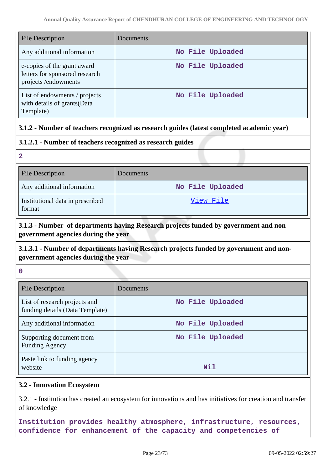| <b>File Description</b>                                                              | Documents        |
|--------------------------------------------------------------------------------------|------------------|
| Any additional information                                                           | No File Uploaded |
| e-copies of the grant award<br>letters for sponsored research<br>projects/endowments | No File Uploaded |
| List of endowments / projects<br>with details of grants (Data<br>Template)           | No File Uploaded |

# **3.1.2 - Number of teachers recognized as research guides (latest completed academic year)**

# **3.1.2.1 - Number of teachers recognized as research guides**

**2**

| <b>File Description</b>                    | Documents        |
|--------------------------------------------|------------------|
| Any additional information                 | No File Uploaded |
| Institutional data in prescribed<br>format | View File        |

# **3.1.3 - Number of departments having Research projects funded by government and non government agencies during the year**

# **3.1.3.1 - Number of departments having Research projects funded by government and nongovernment agencies during the year**

**0**

| <b>File Description</b>                                          | Documents        |
|------------------------------------------------------------------|------------------|
| List of research projects and<br>funding details (Data Template) | No File Uploaded |
| Any additional information                                       | No File Uploaded |
| Supporting document from<br><b>Funding Agency</b>                | No File Uploaded |
| Paste link to funding agency<br>website                          | Nil              |

# **3.2 - Innovation Ecosystem**

3.2.1 - Institution has created an ecosystem for innovations and has initiatives for creation and transfer of knowledge

**Institution provides healthy atmosphere, infrastructure, resources, confidence for enhancement of the capacity and competencies of**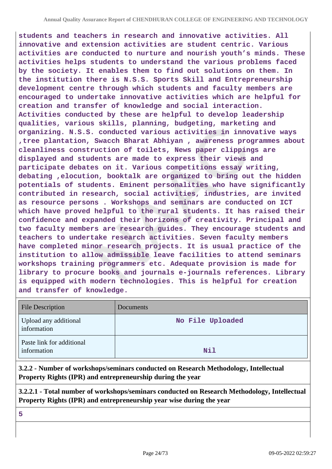**students and teachers in research and innovative activities. All innovative and extension activities are student centric. Various activities are conducted to nurture and nourish youth's minds. These activities helps students to understand the various problems faced by the society. It enables them to find out solutions on them. In the institution there is N.S.S. Sports Skill and Entrepreneurship development centre through which students and faculty members are encouraged to undertake innovative activities which are helpful for creation and transfer of knowledge and social interaction. Activities conducted by these are helpful to develop leadership qualities, various skills, planning, budgeting, marketing and organizing. N.S.S. conducted various activities in innovative ways ,tree plantation, Swacch Bharat Abhiyan , awareness programmes about cleanliness construction of toilets, News paper clippings are displayed and students are made to express their views and participate debates on it. Various competitions essay writing, debating ,elocution, booktalk are organized to bring out the hidden potentials of students. Eminent personalities who have significantly contributed in research, social activities, industries, are invited as resource persons . Workshops and seminars are conducted on ICT which have proved helpful to the rural students. It has raised their confidence and expanded their horizons of creativity. Principal and two faculty members are research guides. They encourage students and teachers to undertake research activities. Seven faculty members have completed minor research projects. It is usual practice of the institution to allow admissible leave facilities to attend seminars workshops training programmers etc. Adequate provision is made for library to procure books and journals e-journals references. Library is equipped with modern technologies. This is helpful for creation and transfer of knowledge.**

| <b>File Description</b>                  | Documents        |
|------------------------------------------|------------------|
| Upload any additional<br>information     | No File Uploaded |
| Paste link for additional<br>information | Nil              |

**3.2.2 - Number of workshops/seminars conducted on Research Methodology, Intellectual Property Rights (IPR) and entrepreneurship during the year**

**3.2.2.1 - Total number of workshops/seminars conducted on Research Methodology, Intellectual Property Rights (IPR) and entrepreneurship year wise during the year**

**5**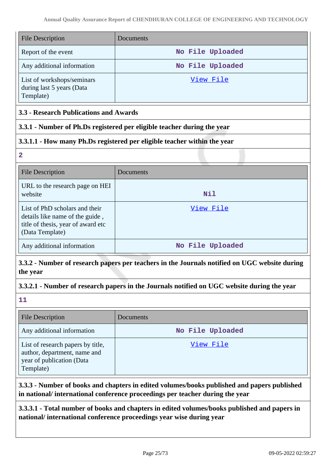| <b>File Description</b>                                              | Documents        |
|----------------------------------------------------------------------|------------------|
| Report of the event                                                  | No File Uploaded |
| Any additional information                                           | No File Uploaded |
| List of workshops/seminars<br>during last 5 years (Data<br>Template) | View File        |

# **3.3 - Research Publications and Awards**

# **3.3.1 - Number of Ph.Ds registered per eligible teacher during the year**

# **3.3.1.1 - How many Ph.Ds registered per eligible teacher within the year**

**2**

| <b>File Description</b>                                                                                                    | Documents        |
|----------------------------------------------------------------------------------------------------------------------------|------------------|
| URL to the research page on HEI<br>website                                                                                 | Nil              |
| List of PhD scholars and their<br>details like name of the guide,<br>title of thesis, year of award etc<br>(Data Template) | View File        |
| Any additional information                                                                                                 | No File Uploaded |

**3.3.2 - Number of research papers per teachers in the Journals notified on UGC website during the year**

# **3.3.2.1 - Number of research papers in the Journals notified on UGC website during the year**

**11**

| <b>File Description</b>                                                                                     | Documents        |
|-------------------------------------------------------------------------------------------------------------|------------------|
| Any additional information                                                                                  | No File Uploaded |
| List of research papers by title,<br>author, department, name and<br>year of publication (Data<br>Template) | View File        |

**3.3.3 - Number of books and chapters in edited volumes/books published and papers published in national/ international conference proceedings per teacher during the year**

**3.3.3.1 - Total number of books and chapters in edited volumes/books published and papers in national/ international conference proceedings year wise during year**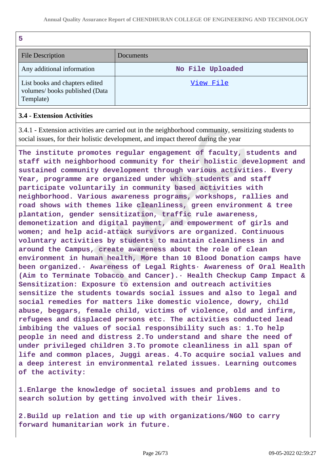| .,<br>r       |
|---------------|
| ۰.<br>۰,<br>× |
| w             |

| <b>File Description</b>                                                      | <b>Documents</b> |
|------------------------------------------------------------------------------|------------------|
| Any additional information                                                   | No File Uploaded |
| List books and chapters edited<br>volumes/books published (Data<br>Template) | View File        |

# **3.4 - Extension Activities**

3.4.1 - Extension activities are carried out in the neighborhood community, sensitizing students to social issues, for their holistic development, and impact thereof during the year

**The institute promotes regular engagement of faculty, students and staff with neighborhood community for their holistic development and sustained community development through various activities. Every Year, programme are organized under which students and staff participate voluntarily in community based activities with neighborhood. Various awareness programs, workshops, rallies and road shows with themes like cleanliness, green environment & tree plantation, gender sensitization, traffic rule awareness, demonetization and digital payment, and empowerment of girls and women; and help acid-attack survivors are organized. Continuous voluntary activities by students to maintain cleanliness in and around the Campus, create awareness about the role of clean environment in human health, More than 10 Blood Donation camps have been organized.· Awareness of Legal Rights· Awareness of Oral Health (Aim to Terminate Tobacco and Cancer).· Health Checkup Camp Impact & Sensitization: Exposure to extension and outreach activities sensitize the students towards social issues and also to legal and social remedies for matters like domestic violence, dowry, child abuse, beggars, female child, victims of violence, old and infirm, refugees and displaced persons etc. The activities conducted lead imbibing the values of social responsibility such as: 1.To help people in need and distress 2.To understand and share the need of under privileged children 3.To promote cleanliness in all span of life and common places, Juggi areas. 4.To acquire social values and a deep interest in environmental related issues. Learning outcomes of the activity:**

**1.Enlarge the knowledge of societal issues and problems and to search solution by getting involved with their lives.**

**2.Build up relation and tie up with organizations/NGO to carry forward humanitarian work in future.**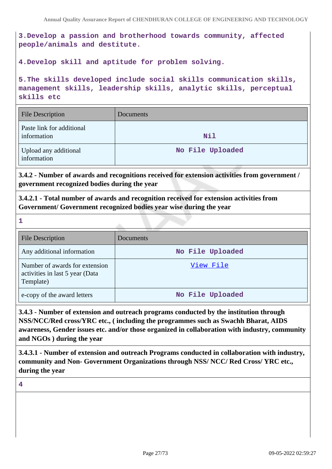**3.Develop a passion and brotherhood towards community, affected people/animals and destitute.**

**4.Develop skill and aptitude for problem solving.**

**5.The skills developed include social skills communication skills, management skills, leadership skills, analytic skills, perceptual skills etc**

| <b>File Description</b>                  | Documents        |
|------------------------------------------|------------------|
| Paste link for additional<br>information | Nil              |
| Upload any additional<br>information     | No File Uploaded |

**3.4.2 - Number of awards and recognitions received for extension activities from government / government recognized bodies during the year**

**3.4.2.1 - Total number of awards and recognition received for extension activities from Government/ Government recognized bodies year wise during the year**

| <b>File Description</b>                                                        | <b>Documents</b> |
|--------------------------------------------------------------------------------|------------------|
| Any additional information                                                     | No File Uploaded |
| Number of awards for extension<br>activities in last 5 year (Data<br>Template) | View File        |
| e-copy of the award letters                                                    | No File Uploaded |

**3.4.3 - Number of extension and outreach programs conducted by the institution through NSS/NCC/Red cross/YRC etc., ( including the programmes such as Swachh Bharat, AIDS awareness, Gender issues etc. and/or those organized in collaboration with industry, community and NGOs ) during the year**

**3.4.3.1 - Number of extension and outreach Programs conducted in collaboration with industry, community and Non- Government Organizations through NSS/ NCC/ Red Cross/ YRC etc., during the year**

### **4**

**1**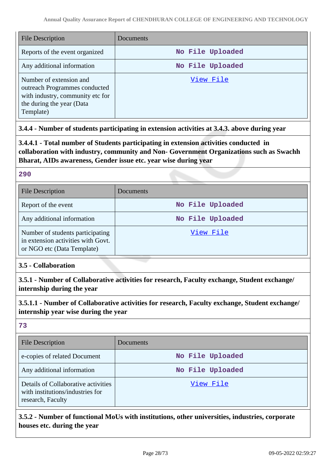| <b>File Description</b>                                                                                                                | Documents        |
|----------------------------------------------------------------------------------------------------------------------------------------|------------------|
| Reports of the event organized                                                                                                         | No File Uploaded |
| Any additional information                                                                                                             | No File Uploaded |
| Number of extension and<br>outreach Programmes conducted<br>with industry, community etc for<br>the during the year (Data<br>Template) | View File        |

# **3.4.4 - Number of students participating in extension activities at 3.4.3. above during year**

**3.4.4.1 - Total number of Students participating in extension activities conducted in collaboration with industry, community and Non- Government Organizations such as Swachh Bharat, AIDs awareness, Gender issue etc. year wise during year**

### **290**

| <b>File Description</b>                                                                              | Documents        |
|------------------------------------------------------------------------------------------------------|------------------|
| Report of the event                                                                                  | No File Uploaded |
| Any additional information                                                                           | No File Uploaded |
| Number of students participating<br>in extension activities with Govt.<br>or NGO etc (Data Template) | View File        |

# **3.5 - Collaboration**

**3.5.1 - Number of Collaborative activities for research, Faculty exchange, Student exchange/ internship during the year**

**3.5.1.1 - Number of Collaborative activities for research, Faculty exchange, Student exchange/ internship year wise during the year**

**73**

| <b>File Description</b>                                                                      | Documents        |
|----------------------------------------------------------------------------------------------|------------------|
| e-copies of related Document                                                                 | No File Uploaded |
| Any additional information                                                                   | No File Uploaded |
| Details of Collaborative activities<br>with institutions/industries for<br>research, Faculty | View File        |

**3.5.2 - Number of functional MoUs with institutions, other universities, industries, corporate houses etc. during the year**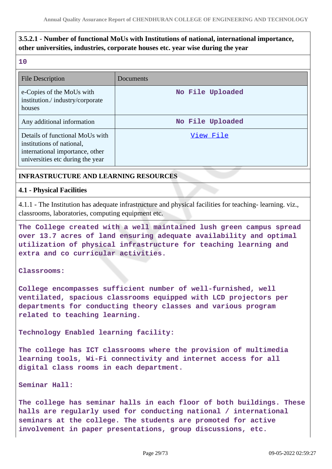# **3.5.2.1 - Number of functional MoUs with Institutions of national, international importance, other universities, industries, corporate houses etc. year wise during the year**

#### **10**

| <b>File Description</b>                                                                                                             | <b>Documents</b> |
|-------------------------------------------------------------------------------------------------------------------------------------|------------------|
| e-Copies of the MoUs with<br>institution./industry/corporate<br>houses                                                              | No File Uploaded |
| Any additional information                                                                                                          | No File Uploaded |
| Details of functional MoUs with<br>institutions of national,<br>international importance, other<br>universities etc during the year | View File        |

### **INFRASTRUCTURE AND LEARNING RESOURCES**

#### **4.1 - Physical Facilities**

4.1.1 - The Institution has adequate infrastructure and physical facilities for teaching- learning. viz., classrooms, laboratories, computing equipment etc.

**The College created with a well maintained lush green campus spread over 13.7 acres of land ensuring adequate availability and optimal utilization of physical infrastructure for teaching learning and extra and co curricular activities.**

#### **Classrooms:**

**College encompasses sufficient number of well-furnished, well ventilated, spacious classrooms equipped with LCD projectors per departments for conducting theory classes and various program related to teaching learning.**

**Technology Enabled learning facility:** 

**The college has ICT classrooms where the provision of multimedia learning tools, Wi-Fi connectivity and internet access for all digital class rooms in each department.**

#### **Seminar Hall:**

**The college has seminar halls in each floor of both buildings. These halls are regularly used for conducting national / international seminars at the college. The students are promoted for active involvement in paper presentations, group discussions, etc.**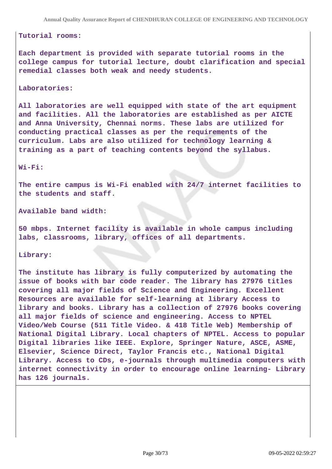#### **Tutorial rooms:**

**Each department is provided with separate tutorial rooms in the college campus for tutorial lecture, doubt clarification and special remedial classes both weak and needy students.**

#### **Laboratories:**

**All laboratories are well equipped with state of the art equipment and facilities. All the laboratories are established as per AICTE and Anna University, Chennai norms. These labs are utilized for conducting practical classes as per the requirements of the curriculum. Labs are also utilized for technology learning & training as a part of teaching contents beyond the syllabus.**

#### **Wi-Fi:**

**The entire campus is Wi-Fi enabled with 24/7 internet facilities to the students and staff.**

**Available band width:**

**50 mbps. Internet facility is available in whole campus including labs, classrooms, library, offices of all departments.**

#### **Library:**

**The institute has library is fully computerized by automating the issue of books with bar code reader. The library has 27976 titles covering all major fields of Science and Engineering. Excellent Resources are available for self-learning at library Access to library and books. Library has a collection of 27976 books covering all major fields of science and engineering. Access to NPTEL Video/Web Course (511 Title Video. & 418 Title Web) Membership of National Digital Library. Local chapters of NPTEL. Access to popular Digital libraries like IEEE. Explore, Springer Nature, ASCE, ASME, Elsevier, Science Direct, Taylor Francis etc., National Digital Library. Access to CDs, e-journals through multimedia computers with internet connectivity in order to encourage online learning- Library has 126 journals.**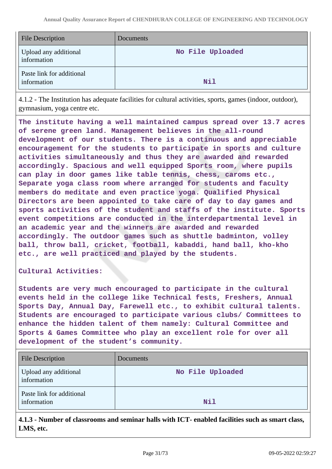| <b>File Description</b>                  | Documents        |
|------------------------------------------|------------------|
| Upload any additional<br>information     | No File Uploaded |
| Paste link for additional<br>information | Nil              |

4.1.2 - The Institution has adequate facilities for cultural activities, sports, games (indoor, outdoor), gymnasium, yoga centre etc.

**The institute having a well maintained campus spread over 13.7 acres of serene green land. Management believes in the all-round development of our students. There is a continuous and appreciable encouragement for the students to participate in sports and culture activities simultaneously and thus they are awarded and rewarded accordingly. Spacious and well equipped Sports room, where pupils can play in door games like table tennis, chess, caroms etc., Separate yoga class room where arranged for students and faculty members do meditate and even practice yoga. Qualified Physical Directors are been appointed to take care of day to day games and sports activities of the student and staffs of the institute. Sports event competitions are conducted in the interdepartmental level in an academic year and the winners are awarded and rewarded accordingly. The outdoor games such as shuttle badminton, volley ball, throw ball, cricket, football, kabaddi, hand ball, kho-kho etc., are well practiced and played by the students.**

**Cultural Activities:** 

**Students are very much encouraged to participate in the cultural events held in the college like Technical fests, Freshers, Annual Sports Day, Annual Day, Farewell etc., to exhibit cultural talents. Students are encouraged to participate various clubs/ Committees to enhance the hidden talent of them namely: Cultural Committee and Sports & Games Committee who play an excellent role for over all development of the student's community.**

| <b>File Description</b>                  | Documents        |
|------------------------------------------|------------------|
| Upload any additional<br>information     | No File Uploaded |
| Paste link for additional<br>information | Nil              |

**4.1.3 - Number of classrooms and seminar halls with ICT- enabled facilities such as smart class, LMS, etc.**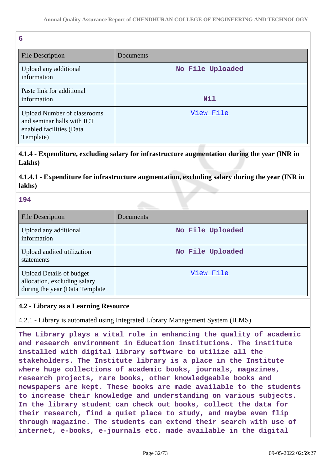| 6                                                                                                         |                  |
|-----------------------------------------------------------------------------------------------------------|------------------|
| <b>File Description</b>                                                                                   | Documents        |
| Upload any additional<br>information                                                                      | No File Uploaded |
| Paste link for additional<br>information                                                                  | Nil              |
| <b>Upload Number of classrooms</b><br>and seminar halls with ICT<br>enabled facilities (Data<br>Template) | View File        |

**4.1.4 - Expenditure, excluding salary for infrastructure augmentation during the year (INR in Lakhs)**

**4.1.4.1 - Expenditure for infrastructure augmentation, excluding salary during the year (INR in lakhs)**

**194**

| <b>File Description</b>                                                                            | Documents        |
|----------------------------------------------------------------------------------------------------|------------------|
| Upload any additional<br>information                                                               | No File Uploaded |
| Upload audited utilization<br>statements                                                           | No File Uploaded |
| <b>Upload Details of budget</b><br>allocation, excluding salary<br>during the year (Data Template) | View File        |

# **4.2 - Library as a Learning Resource**

4.2.1 - Library is automated using Integrated Library Management System (ILMS)

**The Library plays a vital role in enhancing the quality of academic and research environment in Education institutions. The institute installed with digital library software to utilize all the stakeholders. The Institute library is a place in the Institute where huge collections of academic books, journals, magazines, research projects, rare books, other knowledgeable books and newspapers are kept. These books are made available to the students to increase their knowledge and understanding on various subjects. In the library student can check out books, collect the data for their research, find a quiet place to study, and maybe even flip through magazine. The students can extend their search with use of internet, e-books, e-journals etc. made available in the digital**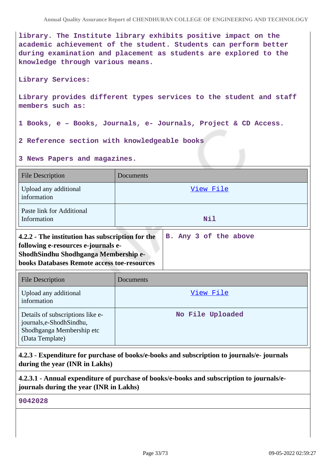**library. The Institute library exhibits positive impact on the academic achievement of the student. Students can perform better during examination and placement as students are explored to the knowledge through various means.**

#### **Library Services:**

**Library provides different types services to the student and staff members such as:**

- **1 Books, e Books, Journals, e- Journals, Project & CD Access.**
- **2 Reference section with knowledgeable books**

**3 News Papers and magazines.**

| <b>File Description</b>                                                                                                                                                               | Documents             |
|---------------------------------------------------------------------------------------------------------------------------------------------------------------------------------------|-----------------------|
| Upload any additional<br>information                                                                                                                                                  | <u>View File</u>      |
| Paste link for Additional<br>Information                                                                                                                                              | Nil                   |
| 4.2.2 - The institution has subscription for the<br>following e-resources e-journals e-<br>ShodhSindhu Shodhganga Membership e-<br><b>books Databases Remote access toe-resources</b> | B. Any 3 of the above |
| <b>File Description</b>                                                                                                                                                               | Documents             |
| Upload any additional<br>information                                                                                                                                                  | View File             |
| Details of subscriptions like e-<br>journals, e-Shodh Sindhu,<br>Shodhganga Membership etc<br>(Data Template)                                                                         | No File Uploaded      |

**4.2.3 - Expenditure for purchase of books/e-books and subscription to journals/e- journals during the year (INR in Lakhs)**

**4.2.3.1 - Annual expenditure of purchase of books/e-books and subscription to journals/ejournals during the year (INR in Lakhs)**

**9042028**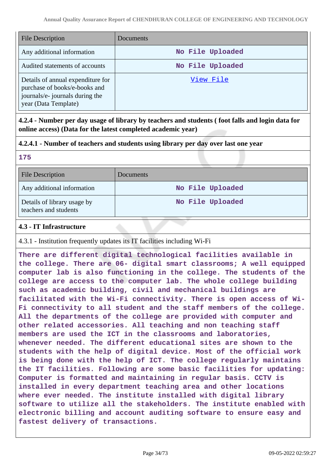| <b>File Description</b>                                                                                                       | Documents        |
|-------------------------------------------------------------------------------------------------------------------------------|------------------|
| Any additional information                                                                                                    | No File Uploaded |
| Audited statements of accounts                                                                                                | No File Uploaded |
| Details of annual expenditure for<br>purchase of books/e-books and<br>journals/e- journals during the<br>year (Data Template) | View File        |

**4.2.4 - Number per day usage of library by teachers and students ( foot falls and login data for online access) (Data for the latest completed academic year)**

# **4.2.4.1 - Number of teachers and students using library per day over last one year**

| a j |                   |
|-----|-------------------|
|     | ×.                |
|     | <b>START</b><br>w |
|     |                   |

| <b>File Description</b>                              | Documents        |
|------------------------------------------------------|------------------|
| Any additional information                           | No File Uploaded |
| Details of library usage by<br>teachers and students | No File Uploaded |

# **4.3 - IT Infrastructure**

4.3.1 - Institution frequently updates its IT facilities including Wi-Fi

**There are different digital technological facilities available in the college. There are 06- digital smart classrooms; A well equipped computer lab is also functioning in the college. The students of the college are access to the computer lab. The whole college building such as academic building, civil and mechanical buildings are facilitated with the Wi-Fi connectivity. There is open access of Wi-Fi connectivity to all student and the staff members of the college. All the departments of the college are provided with computer and other related accessories. All teaching and non teaching staff members are used the ICT in the classrooms and laboratories, whenever needed. The different educational sites are shown to the students with the help of digital device. Most of the official work is being done with the help of ICT. The college regularly maintains the IT facilities. Following are some basic facilities for updating: Computer is formatted and maintaining in regular basis. CCTV is installed in every department teaching area and other locations where ever needed. The institute installed with digital library software to utilize all the stakeholders. The institute enabled with electronic billing and account auditing software to ensure easy and fastest delivery of transactions.**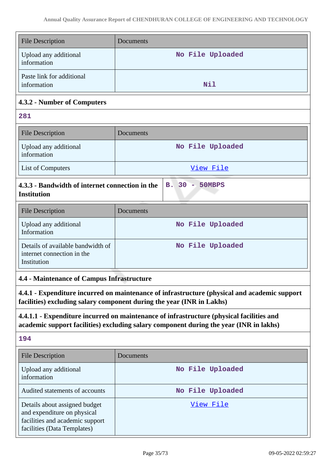| <b>File Description</b>                                                                                                                                                            | Documents        |  |
|------------------------------------------------------------------------------------------------------------------------------------------------------------------------------------|------------------|--|
| Upload any additional<br>information                                                                                                                                               | No File Uploaded |  |
| Paste link for additional<br>information                                                                                                                                           | Nil              |  |
| 4.3.2 - Number of Computers                                                                                                                                                        |                  |  |
| 281                                                                                                                                                                                |                  |  |
| <b>File Description</b>                                                                                                                                                            | Documents        |  |
| Upload any additional<br>information                                                                                                                                               | No File Uploaded |  |
| List of Computers                                                                                                                                                                  | View File        |  |
| 4.3.3 - Bandwidth of internet connection in the<br><b>B.</b> 30<br>- 50MBPS<br><b>Institution</b>                                                                                  |                  |  |
| <b>File Description</b>                                                                                                                                                            | Documents        |  |
| Upload any additional<br>Information                                                                                                                                               | No File Uploaded |  |
| Details of available bandwidth of<br>internet connection in the<br>Institution                                                                                                     | No File Uploaded |  |
| 4.4 - Maintenance of Campus Infrastructure                                                                                                                                         |                  |  |
| 4.4.1 - Expenditure incurred on maintenance of infrastructure (physical and academic support<br>facilities) excluding salary component during the year (INR in Lakhs)              |                  |  |
| 4.4.1.1 - Expenditure incurred on maintenance of infrastructure (physical facilities and<br>academic support facilities) excluding salary component during the year (INR in lakhs) |                  |  |
| 194                                                                                                                                                                                |                  |  |
| <b>File Description</b>                                                                                                                                                            | Documents        |  |
| Upload any additional<br>information                                                                                                                                               | No File Uploaded |  |
| Audited statements of accounts                                                                                                                                                     | No File Uploaded |  |
| Details about assigned budget<br>and expenditure on physical<br>facilities and academic support<br>facilities (Data Templates)                                                     | View File        |  |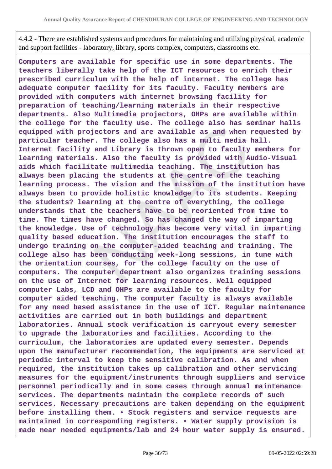4.4.2 - There are established systems and procedures for maintaining and utilizing physical, academic and support facilities - laboratory, library, sports complex, computers, classrooms etc.

**Computers are available for specific use in some departments. The teachers liberally take help of the ICT resources to enrich their prescribed curriculum with the help of internet. The college has adequate computer facility for its faculty. Faculty members are provided with computers with internet browsing facility for preparation of teaching/learning materials in their respective departments. Also Multimedia projectors, OHPs are available within the college for the faculty use. The college also has seminar halls equipped with projectors and are available as and when requested by particular teacher. The college also has a multi media hall. Internet facility and Library is thrown open to faculty members for learning materials. Also the faculty is provided with Audio-Visual aids which facilitate multimedia teaching. The institution has always been placing the students at the centre of the teaching learning process. The vision and the mission of the institution have always been to provide holistic knowledge to its students. Keeping the students? learning at the centre of everything, the college understands that the teachers have to be reoriented from time to time. The times have changed. So has changed the way of imparting the knowledge. Use of technology has become very vital in imparting quality based education. The institution encourages the staff to undergo training on the computer-aided teaching and training. The college also has been conducting week-long sessions, in tune with the orientation courses, for the college faculty on the use of computers. The computer department also organizes training sessions on the use of Internet for learning resources. Well equipped computer Labs, LCD and OHPs are available to the faculty for computer aided teaching. The computer faculty is always available for any need based assistance in the use of ICT. Regular maintenance activities are carried out in both buildings and department laboratories. Annual stock verification is carryout every semester to upgrade the laboratories and facilities. According to the curriculum, the laboratories are updated every semester. Depends upon the manufacturer recommendation, the equipments are serviced at periodic interval to keep the sensitive calibration. As and when required, the institution takes up calibration and other servicing measures for the equipment/instruments through suppliers and service personnel periodically and in some cases through annual maintenance services. The departments maintain the complete records of such services. Necessary precautions are taken depending on the equipment before installing them. • Stock registers and service requests are maintained in corresponding registers. • Water supply provision is made near needed equipments/lab and 24 hour water supply is ensured.**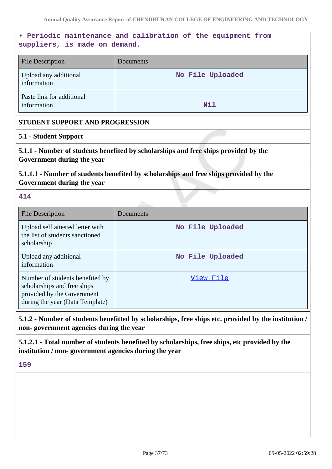# **• Periodic maintenance and calibration of the equipment from suppliers, is made on demand.**

| <b>File Description</b>                  | Documents        |
|------------------------------------------|------------------|
| Upload any additional<br>information     | No File Uploaded |
| Paste link for additional<br>information | Nil              |

## **STUDENT SUPPORT AND PROGRESSION**

## **5.1 - Student Support**

**5.1.1 - Number of students benefited by scholarships and free ships provided by the Government during the year**

**5.1.1.1 - Number of students benefited by scholarships and free ships provided by the Government during the year**

**414**

| <b>File Description</b>                                                                                                         | Documents        |
|---------------------------------------------------------------------------------------------------------------------------------|------------------|
| Upload self attested letter with<br>the list of students sanctioned<br>scholarship                                              | No File Uploaded |
| Upload any additional<br>information                                                                                            | No File Uploaded |
| Number of students benefited by<br>scholarships and free ships<br>provided by the Government<br>during the year (Data Template) | View File        |

# **5.1.2 - Number of students benefitted by scholarships, free ships etc. provided by the institution / non- government agencies during the year**

**5.1.2.1 - Total number of students benefited by scholarships, free ships, etc provided by the institution / non- government agencies during the year**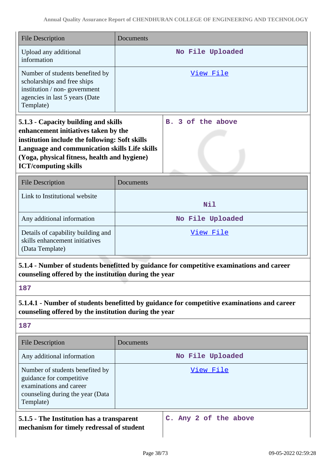| <b>File Description</b>                                                                                                                                                                                                                                        | Documents                                                                                   |
|----------------------------------------------------------------------------------------------------------------------------------------------------------------------------------------------------------------------------------------------------------------|---------------------------------------------------------------------------------------------|
| Upload any additional<br>information                                                                                                                                                                                                                           | No File Uploaded                                                                            |
| Number of students benefited by<br>scholarships and free ships<br>institution / non-government<br>agencies in last 5 years (Date<br>Template)                                                                                                                  | View File                                                                                   |
| 5.1.3 - Capacity building and skills<br>enhancement initiatives taken by the<br>institution include the following: Soft skills<br>Language and communication skills Life skills<br>(Yoga, physical fitness, health and hygiene)<br><b>ICT/computing skills</b> | 3 of the above<br><b>B.</b>                                                                 |
| <b>File Description</b>                                                                                                                                                                                                                                        | Documents                                                                                   |
| Link to Institutional website                                                                                                                                                                                                                                  | Nil                                                                                         |
| Any additional information                                                                                                                                                                                                                                     | No File Uploaded                                                                            |
| Details of capability building and<br>skills enhancement initiatives<br>(Data Template)                                                                                                                                                                        | View File                                                                                   |
| counseling offered by the institution during the year                                                                                                                                                                                                          | 5.1.4 - Number of students benefitted by guidance for competitive examinations and career   |
| 187                                                                                                                                                                                                                                                            |                                                                                             |
| counseling offered by the institution during the year                                                                                                                                                                                                          | 5.1.4.1 - Number of students benefitted by guidance for competitive examinations and career |
| 187                                                                                                                                                                                                                                                            |                                                                                             |
| <b>File Description</b>                                                                                                                                                                                                                                        | Documents                                                                                   |
| Any additional information                                                                                                                                                                                                                                     | No File Uploaded                                                                            |
| Number of students benefited by<br>guidance for competitive<br>examinations and career<br>counseling during the year (Data<br>Template)                                                                                                                        | <u>View File</u>                                                                            |
| 5.1.5 - The Institution has a transparent<br>mechanism for timely redressal of student                                                                                                                                                                         | C. Any 2 of the above                                                                       |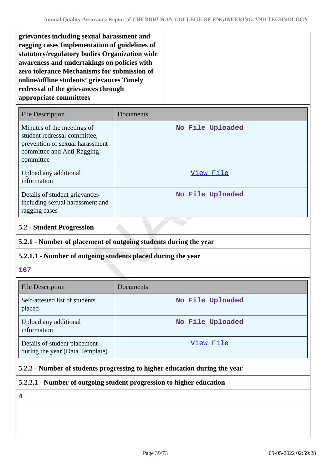**grievances including sexual harassment and ragging cases Implementation of guidelines of statutory/regulatory bodies Organization wide awareness and undertakings on policies with zero tolerance Mechanisms for submission of online/offline students' grievances Timely redressal of the grievances through appropriate committees**

| <b>File Description</b>                                                                                                                  | Documents        |
|------------------------------------------------------------------------------------------------------------------------------------------|------------------|
| Minutes of the meetings of<br>student redressal committee,<br>prevention of sexual harassment<br>committee and Anti Ragging<br>committee | No File Uploaded |
| Upload any additional<br>information                                                                                                     | View File        |
| Details of student grievances<br>including sexual harassment and<br>ragging cases                                                        | No File Uploaded |

## **5.2 - Student Progression**

## **5.2.1 - Number of placement of outgoing students during the year**

# **5.2.1.1 - Number of outgoing students placed during the year**

### **167**

| <b>File Description</b>                                         | Documents        |
|-----------------------------------------------------------------|------------------|
| Self-attested list of students<br>placed                        | No File Uploaded |
| Upload any additional<br>information                            | No File Uploaded |
| Details of student placement<br>during the year (Data Template) | View File        |

# **5.2.2 - Number of students progressing to higher education during the year**

## **5.2.2.1 - Number of outgoing student progression to higher education**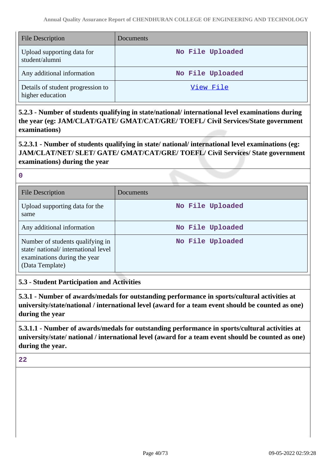| <b>File Description</b>                               | Documents        |
|-------------------------------------------------------|------------------|
| Upload supporting data for<br>student/alumni          | No File Uploaded |
| Any additional information                            | No File Uploaded |
| Details of student progression to<br>higher education | View File        |

**5.2.3 - Number of students qualifying in state/national/ international level examinations during the year (eg: JAM/CLAT/GATE/ GMAT/CAT/GRE/ TOEFL/ Civil Services/State government examinations)**

**5.2.3.1 - Number of students qualifying in state/ national/ international level examinations (eg: JAM/CLAT/NET/ SLET/ GATE/ GMAT/CAT/GRE/ TOEFL/ Civil Services/ State government examinations) during the year**

**0**

| <b>File Description</b>                                                                                                   | Documents        |
|---------------------------------------------------------------------------------------------------------------------------|------------------|
| Upload supporting data for the<br>same                                                                                    | No File Uploaded |
| Any additional information                                                                                                | No File Uploaded |
| Number of students qualifying in<br>state/national/international level<br>examinations during the year<br>(Data Template) | No File Uploaded |

# **5.3 - Student Participation and Activities**

**5.3.1 - Number of awards/medals for outstanding performance in sports/cultural activities at university/state/national / international level (award for a team event should be counted as one) during the year**

**5.3.1.1 - Number of awards/medals for outstanding performance in sports/cultural activities at university/state/ national / international level (award for a team event should be counted as one) during the year.**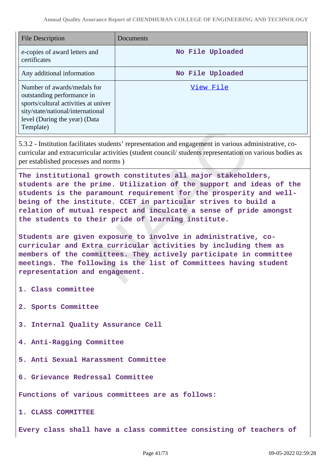| <b>File Description</b>                                                                                                                                                              | Documents        |
|--------------------------------------------------------------------------------------------------------------------------------------------------------------------------------------|------------------|
| e-copies of award letters and<br>certificates                                                                                                                                        | No File Uploaded |
| Any additional information                                                                                                                                                           | No File Uploaded |
| Number of awards/medals for<br>outstanding performance in<br>sports/cultural activities at univer<br>sity/state/national/international<br>level (During the year) (Data<br>Template) | View File        |

5.3.2 - Institution facilitates students' representation and engagement in various administrative, cocurricular and extracurricular activities (student council/ students representation on various bodies as per established processes and norms )

**The institutional growth constitutes all major stakeholders, students are the prime. Utilization of the support and ideas of the students is the paramount requirement for the prosperity and wellbeing of the institute. CCET in particular strives to build a relation of mutual respect and inculcate a sense of pride amongst the students to their pride of learning institute.**

**Students are given exposure to involve in administrative, cocurricular and Extra curricular activities by including them as members of the committees. They actively participate in committee meetings. The following is the list of Committees having student representation and engagement.**

- **1. Class committee**
- **2. Sports Committee**
- **3. Internal Quality Assurance Cell**
- **4. Anti-Ragging Committee**
- **5. Anti Sexual Harassment Committee**
- **6. Grievance Redressal Committee**

**Functions of various committees are as follows:**

**1. CLASS COMMITTEE** 

**Every class shall have a class committee consisting of teachers of**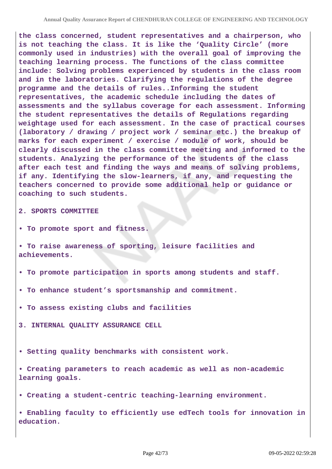**the class concerned, student representatives and a chairperson, who is not teaching the class. It is like the 'Quality Circle' (more commonly used in industries) with the overall goal of improving the teaching learning process. The functions of the class committee include: Solving problems experienced by students in the class room and in the laboratories. Clarifying the regulations of the degree programme and the details of rules..Informing the student representatives, the academic schedule including the dates of assessments and the syllabus coverage for each assessment. Informing the student representatives the details of Regulations regarding weightage used for each assessment. In the case of practical courses (laboratory / drawing / project work / seminar etc.) the breakup of marks for each experiment / exercise / module of work, should be clearly discussed in the class committee meeting and informed to the students. Analyzing the performance of the students of the class after each test and finding the ways and means of solving problems, if any. Identifying the slow-learners, if any, and requesting the teachers concerned to provide some additional help or guidance or coaching to such students.**

**2. SPORTS COMMITTEE** 

**• To promote sport and fitness.**

**• To raise awareness of sporting, leisure facilities and achievements.**

**• To promote participation in sports among students and staff.**

**• To enhance student's sportsmanship and commitment.**

**• To assess existing clubs and facilities**

**3. INTERNAL QUALITY ASSURANCE CELL**

**• Setting quality benchmarks with consistent work.**

**• Creating parameters to reach academic as well as non-academic learning goals.**

**• Creating a student-centric teaching-learning environment.**

**• Enabling faculty to efficiently use edTech tools for innovation in education.**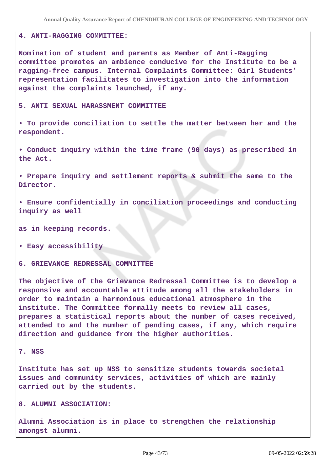#### **4. ANTI-RAGGING COMMITTEE:**

**Nomination of student and parents as Member of Anti-Ragging committee promotes an ambience conducive for the Institute to be a ragging-free campus. Internal Complaints Committee: Girl Students' representation facilitates to investigation into the information against the complaints launched, if any.**

#### **5. ANTI SEXUAL HARASSMENT COMMITTEE**

**• To provide conciliation to settle the matter between her and the respondent.**

**• Conduct inquiry within the time frame (90 days) as prescribed in the Act.**

**• Prepare inquiry and settlement reports & submit the same to the Director.**

**• Ensure confidentially in conciliation proceedings and conducting inquiry as well**

**as in keeping records.**

**• Easy accessibility**

**6. GRIEVANCE REDRESSAL COMMITTEE** 

**The objective of the Grievance Redressal Committee is to develop a responsive and accountable attitude among all the stakeholders in order to maintain a harmonious educational atmosphere in the institute. The Committee formally meets to review all cases, prepares a statistical reports about the number of cases received, attended to and the number of pending cases, if any, which require direction and guidance from the higher authorities.**

#### **7. NSS**

**Institute has set up NSS to sensitize students towards societal issues and community services, activities of which are mainly carried out by the students.**

#### **8. ALUMNI ASSOCIATION:**

**Alumni Association is in place to strengthen the relationship amongst alumni.**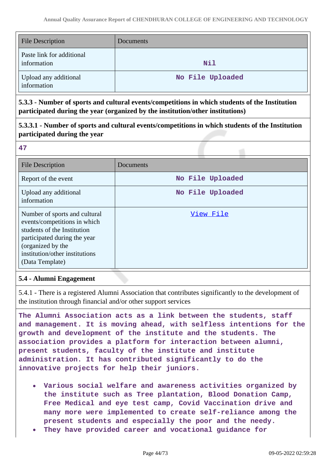| <b>File Description</b>                  | Documents        |
|------------------------------------------|------------------|
| Paste link for additional<br>information | Nil              |
| Upload any additional<br>information     | No File Uploaded |

**5.3.3 - Number of sports and cultural events/competitions in which students of the Institution participated during the year (organized by the institution/other institutions)**

# **5.3.3.1 - Number of sports and cultural events/competitions in which students of the Institution participated during the year**

**47**

| File Description                                                                                                                                                                                       | Documents        |
|--------------------------------------------------------------------------------------------------------------------------------------------------------------------------------------------------------|------------------|
| Report of the event                                                                                                                                                                                    | No File Uploaded |
| Upload any additional<br>information                                                                                                                                                                   | No File Uploaded |
| Number of sports and cultural<br>events/competitions in which<br>students of the Institution<br>participated during the year<br>(organized by the<br>institution/other institutions<br>(Data Template) | View File        |

## **5.4 - Alumni Engagement**

5.4.1 - There is a registered Alumni Association that contributes significantly to the development of the institution through financial and/or other support services

**The Alumni Association acts as a link between the students, staff and management. It is moving ahead, with selfless intentions for the growth and development of the institute and the students. The association provides a platform for interaction between alumni, present students, faculty of the institute and institute administration. It has contributed significantly to do the innovative projects for help their juniors.**

- **Various social welfare and awareness activities organized by the institute such as Tree plantation, Blood Donation Camp, Free Medical and eye test camp, Covid Vaccination drive and many more were implemented to create self-reliance among the present students and especially the poor and the needy.**
- **They have provided career and vocational guidance for**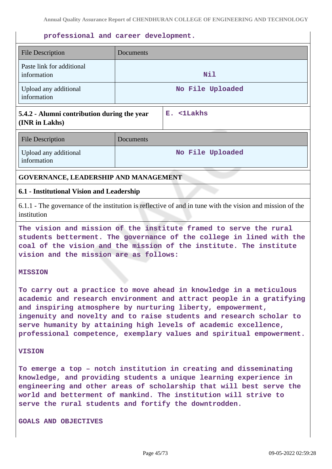### **professional and career development.**

| <b>File Description</b>                     | Documents           |
|---------------------------------------------|---------------------|
| Paste link for additional<br>information    | Nil                 |
| Upload any additional<br>information        | No File Uploaded    |
| 5.4.2 - Alumni contribution during the year | $<$ 1 $Lakhs$<br>Е. |

## **5.4.2 - Alumni contribution during the year (INR in Lakhs)**

| <b>File Description</b>              | Documents        |
|--------------------------------------|------------------|
| Upload any additional<br>information | No File Uploaded |

## **GOVERNANCE, LEADERSHIP AND MANAGEMENT**

### **6.1 - Institutional Vision and Leadership**

6.1.1 - The governance of the institution is reflective of and in tune with the vision and mission of the institution

**The vision and mission of the institute framed to serve the rural students betterment. The governance of the college in lined with the coal of the vision and the mission of the institute. The institute vision and the mission are as follows:**

#### **MISSION**

**To carry out a practice to move ahead in knowledge in a meticulous academic and research environment and attract people in a gratifying and inspiring atmosphere by nurturing liberty, empowerment, ingenuity and novelty and to raise students and research scholar to serve humanity by attaining high levels of academic excellence, professional competence, exemplary values and spiritual empowerment.**

#### **VISION**

**To emerge a top – notch institution in creating and disseminating knowledge, and providing students a unique learning experience in engineering and other areas of scholarship that will best serve the world and betterment of mankind. The institution will strive to serve the rural students and fortify the downtrodden.**

**GOALS AND OBJECTIVES**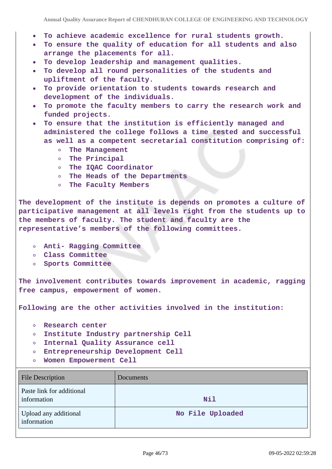- **To achieve academic excellence for rural students growth.**
- **To ensure the quality of education for all students and also arrange the placements for all.**
- **To develop leadership and management qualities.**
- **To develop all round personalities of the students and upliftment of the faculty.**
- **To provide orientation to students towards research and**  $\bullet$ **development of the individuals.**
- **To promote the faculty members to carry the research work and funded projects.**
- **To ensure that the institution is efficiently managed and administered the college follows a time tested and successful as well as a competent secretarial constitution comprising of:**
	- $\circ$ **The Management**
	- **The Principal**
	- **The IQAC Coordinator**
	- **The Heads of the Departments**
	- **The Faculty Members**

**The development of the institute is depends on promotes a culture of participative management at all levels right from the students up to the members of faculty. The student and faculty are the representative's members of the following committees.**

- **Anti- Ragging Committee**
- **Class Committee**
- **Sports Committee**

**The involvement contributes towards improvement in academic, ragging free campus, empowerment of women.**

**Following are the other activities involved in the institution:**

- **Research center**  $\circ$
- **Institute Industry partnership Cell**  $\circ$
- **Internal Quality Assurance cell**  $\circ$
- **Entrepreneurship Development Cell**
- **Women Empowerment Cell**  $\circ$

| <b>File Description</b>                  | Documents        |
|------------------------------------------|------------------|
| Paste link for additional<br>information | Nil              |
| Upload any additional<br>information     | No File Uploaded |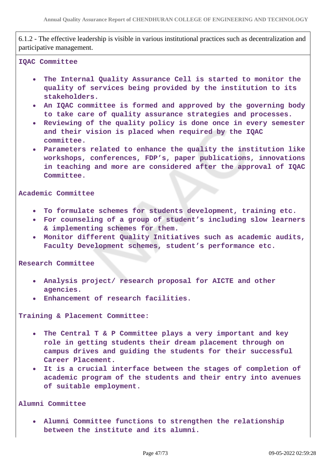6.1.2 - The effective leadership is visible in various institutional practices such as decentralization and participative management.

#### **IQAC Committee**

- $\bullet$ **The Internal Quality Assurance Cell is started to monitor the quality of services being provided by the institution to its stakeholders.**
- **An IQAC committee is formed and approved by the governing body to take care of quality assurance strategies and processes.**
- **Reviewing of the quality policy is done once in every semester and their vision is placed when required by the IQAC committee.**
- **Parameters related to enhance the quality the institution like workshops, conferences, FDP's, paper publications, innovations in teaching and more are considered after the approval of IQAC Committee.**

#### **Academic Committee**

- **To formulate schemes for students development, training etc.**
- **For counseling of a group of student's including slow learners & implementing schemes for them.**
- **Monitor different Quality Initiatives such as academic audits, Faculty Development schemes, student's performance etc.**

**Research Committee**

- **Analysis project/ research proposal for AICTE and other agencies.**
- **Enhancement of research facilities.**

**Training & Placement Committee:**

- **The Central T & P Committee plays a very important and key**  $\bullet$ **role in getting students their dream placement through on campus drives and guiding the students for their successful Career Placement.**
- **It is a crucial interface between the stages of completion of academic program of the students and their entry into avenues of suitable employment.**

### **Alumni Committee**

**Alumni Committee functions to strengthen the relationship between the institute and its alumni.**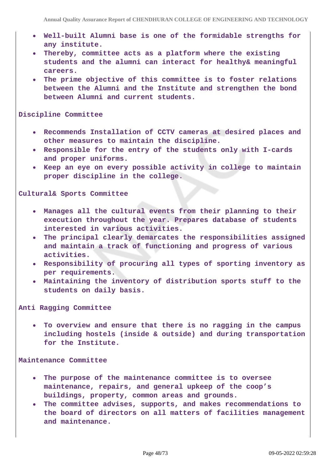- **Well-built Alumni base is one of the formidable strengths for any institute.**
- **Thereby, committee acts as a platform where the existing**  $\bullet$ **students and the alumni can interact for healthy& meaningful careers.**
- **The prime objective of this committee is to foster relations between the Alumni and the Institute and strengthen the bond between Alumni and current students.**

#### **Discipline Committee**

- **Recommends Installation of CCTV cameras at desired places and other measures to maintain the discipline.**
- **Responsible for the entry of the students only with I-cards and proper uniforms.**
- **Keep an eye on every possible activity in college to maintain proper discipline in the college.**

### **Cultural& Sports Committee**

- **Manages all the cultural events from their planning to their execution throughout the year. Prepares database of students interested in various activities.**
- **The principal clearly demarcates the responsibilities assigned and maintain a track of functioning and progress of various activities.**
- **Responsibility of procuring all types of sporting inventory as per requirements.**
- **Maintaining the inventory of distribution sports stuff to the students on daily basis.**

**Anti Ragging Committee**

**To overview and ensure that there is no ragging in the campus including hostels (inside & outside) and during transportation for the Institute.**

#### **Maintenance Committee**

- **The purpose of the maintenance committee is to oversee**  $\bullet$ **maintenance, repairs, and general upkeep of the coop's buildings, property, common areas and grounds.**
- **The committee advises, supports, and makes recommendations to**  $\bullet$ **the board of directors on all matters of facilities management and maintenance.**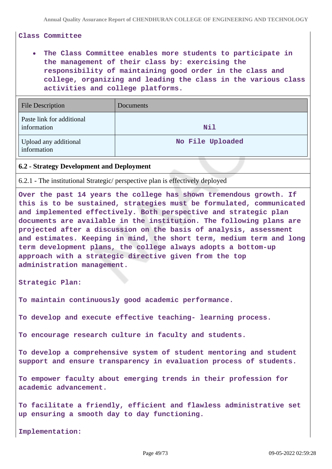### **Class Committee**

# **The Class Committee enables more students to participate in the management of their class by: exercising the responsibility of maintaining good order in the class and college, organizing and leading the class in the various class activities and college platforms.**

| <b>File Description</b>                  | Documents        |
|------------------------------------------|------------------|
| Paste link for additional<br>information | Nil              |
| Upload any additional<br>information     | No File Uploaded |

### **6.2 - Strategy Development and Deployment**

6.2.1 - The institutional Strategic/ perspective plan is effectively deployed

**Over the past 14 years the college has shown tremendous growth. If this is to be sustained, strategies must be formulated, communicated and implemented effectively. Both perspective and strategic plan documents are available in the institution. The following plans are projected after a discussion on the basis of analysis, assessment and estimates. Keeping in mind, the short term, medium term and long term development plans, the college always adopts a bottom-up approach with a strategic directive given from the top administration management.**

**Strategic Plan:** 

**To maintain continuously good academic performance.**

**To develop and execute effective teaching- learning process.**

**To encourage research culture in faculty and students.**

**To develop a comprehensive system of student mentoring and student support and ensure transparency in evaluation process of students.**

**To empower faculty about emerging trends in their profession for academic advancement.**

**To facilitate a friendly, efficient and flawless administrative set up ensuring a smooth day to day functioning.**

**Implementation:**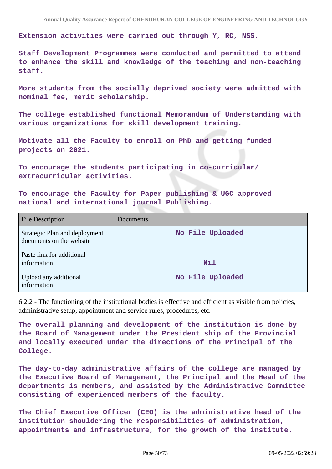**Extension activities were carried out through Y, RC, NSS.**

**Staff Development Programmes were conducted and permitted to attend to enhance the skill and knowledge of the teaching and non-teaching staff.**

**More students from the socially deprived society were admitted with nominal fee, merit scholarship.**

**The college established functional Memorandum of Understanding with various organizations for skill development training.**

**Motivate all the Faculty to enroll on PhD and getting funded projects on 2021.**

**To encourage the students participating in co-curricular/ extracurricular activities.**

**To encourage the Faculty for Paper publishing & UGC approved national and international journal Publishing.**

| <b>File Description</b>                                   | Documents        |
|-----------------------------------------------------------|------------------|
| Strategic Plan and deployment<br>documents on the website | No File Uploaded |
| Paste link for additional<br>information                  | Nil              |
| Upload any additional<br>information                      | No File Uploaded |

6.2.2 - The functioning of the institutional bodies is effective and efficient as visible from policies, administrative setup, appointment and service rules, procedures, etc.

**The overall planning and development of the institution is done by the Board of Management under the President ship of the Provincial and locally executed under the directions of the Principal of the College.**

**The day-to-day administrative affairs of the college are managed by the Executive Board of Management, the Principal and the Head of the departments is members, and assisted by the Administrative Committee consisting of experienced members of the faculty.**

**The Chief Executive Officer (CEO) is the administrative head of the institution shouldering the responsibilities of administration, appointments and infrastructure, for the growth of the institute.**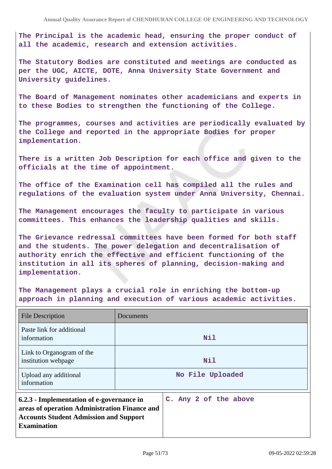**The Principal is the academic head, ensuring the proper conduct of all the academic, research and extension activities.**

**The Statutory Bodies are constituted and meetings are conducted as per the UGC, AICTE, DOTE, Anna University State Government and University guidelines.**

**The Board of Management nominates other academicians and experts in to these Bodies to strengthen the functioning of the College.**

**The programmes, courses and activities are periodically evaluated by the College and reported in the appropriate Bodies for proper implementation.**

**There is a written Job Description for each office and given to the officials at the time of appointment.**

**The office of the Examination cell has compiled all the rules and regulations of the evaluation system under Anna University, Chennai.**

**The Management encourages the faculty to participate in various committees. This enhances the leadership qualities and skills.**

**The Grievance redressal committees have been formed for both staff and the students. The power delegation and decentralisation of authority enrich the effective and efficient functioning of the institution in all its spheres of planning, decision-making and implementation.**

**The Management plays a crucial role in enriching the bottom-up approach in planning and execution of various academic activities.**

| <b>File Description</b>                                                                                                                                           | Documents |                       |
|-------------------------------------------------------------------------------------------------------------------------------------------------------------------|-----------|-----------------------|
| Paste link for additional<br>information                                                                                                                          |           | Nil                   |
| Link to Organogram of the<br>institution webpage                                                                                                                  |           | Nil                   |
| Upload any additional<br>information                                                                                                                              |           | No File Uploaded      |
| 6.2.3 - Implementation of e-governance in<br>areas of operation Administration Finance and<br><b>Accounts Student Admission and Support</b><br><b>Examination</b> |           | C. Any 2 of the above |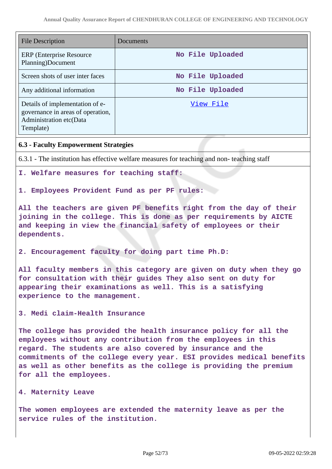| <b>File Description</b>                                                                                      | Documents        |
|--------------------------------------------------------------------------------------------------------------|------------------|
| <b>ERP</b> (Enterprise Resource)<br>Planning)Document                                                        | No File Uploaded |
| Screen shots of user inter faces                                                                             | No File Uploaded |
| Any additional information                                                                                   | No File Uploaded |
| Details of implementation of e-<br>governance in areas of operation,<br>Administration etc(Data<br>Template) | View File        |

## **6.3 - Faculty Empowerment Strategies**

6.3.1 - The institution has effective welfare measures for teaching and non- teaching staff

### **I. Welfare measures for teaching staff:**

### **1. Employees Provident Fund as per PF rules:**

**All the teachers are given PF benefits right from the day of their joining in the college. This is done as per requirements by AICTE and keeping in view the financial safety of employees or their dependents.**

**2. Encouragement faculty for doing part time Ph.D:**

**All faculty members in this category are given on duty when they go for consultation with their guides They also sent on duty for appearing their examinations as well. This is a satisfying experience to the management.**

**3. Medi claim-Health Insurance** 

**The college has provided the health insurance policy for all the employees without any contribution from the employees in this regard. The students are also covered by insurance and the commitments of the college every year. ESI provides medical benefits as well as other benefits as the college is providing the premium for all the employees.**

#### **4. Maternity Leave**

**The women employees are extended the maternity leave as per the service rules of the institution.**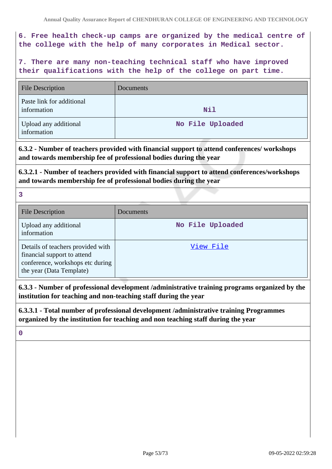# **6. Free health check-up camps are organized by the medical centre of the college with the help of many corporates in Medical sector.**

**7. There are many non-teaching technical staff who have improved their qualifications with the help of the college on part time.**

| <b>File Description</b>                  | Documents        |
|------------------------------------------|------------------|
| Paste link for additional<br>information | Nil              |
| Upload any additional<br>information     | No File Uploaded |

**6.3.2 - Number of teachers provided with financial support to attend conferences/ workshops and towards membership fee of professional bodies during the year**

**6.3.2.1 - Number of teachers provided with financial support to attend conferences/workshops and towards membership fee of professional bodies during the year**

**3**

| <b>File Description</b>                                                                                                          | Documents        |
|----------------------------------------------------------------------------------------------------------------------------------|------------------|
| Upload any additional<br>information                                                                                             | No File Uploaded |
| Details of teachers provided with<br>financial support to attend<br>conference, workshops etc during<br>the year (Data Template) | View File        |

**6.3.3 - Number of professional development /administrative training programs organized by the institution for teaching and non-teaching staff during the year**

# **6.3.3.1 - Total number of professional development /administrative training Programmes organized by the institution for teaching and non teaching staff during the year**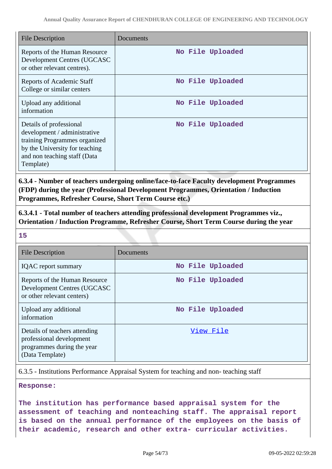| <b>File Description</b>                                                                                                                                                  | Documents        |
|--------------------------------------------------------------------------------------------------------------------------------------------------------------------------|------------------|
| Reports of the Human Resource<br>Development Centres (UGCASC<br>or other relevant centres).                                                                              | No File Uploaded |
| <b>Reports of Academic Staff</b><br>College or similar centers                                                                                                           | No File Uploaded |
| Upload any additional<br>information                                                                                                                                     | No File Uploaded |
| Details of professional<br>development / administrative<br>training Programmes organized<br>by the University for teaching<br>and non teaching staff (Data)<br>Template) | No File Uploaded |

**6.3.4 - Number of teachers undergoing online/face-to-face Faculty development Programmes (FDP) during the year (Professional Development Programmes, Orientation / Induction Programmes, Refresher Course, Short Term Course etc.)**

**6.3.4.1 - Total number of teachers attending professional development Programmes viz., Orientation / Induction Programme, Refresher Course, Short Term Course during the year**

**15**

| <b>File Description</b>                                                                                    | Documents        |
|------------------------------------------------------------------------------------------------------------|------------------|
| <b>IQAC</b> report summary                                                                                 | No File Uploaded |
| Reports of the Human Resource<br>Development Centres (UGCASC<br>or other relevant centers)                 | No File Uploaded |
| Upload any additional<br>information                                                                       | No File Uploaded |
| Details of teachers attending<br>professional development<br>programmes during the year<br>(Data Template) | View File        |

6.3.5 - Institutions Performance Appraisal System for teaching and non- teaching staff

**Response:**

**The institution has performance based appraisal system for the assessment of teaching and nonteaching staff. The appraisal report is based on the annual performance of the employees on the basis of their academic, research and other extra- curricular activities.**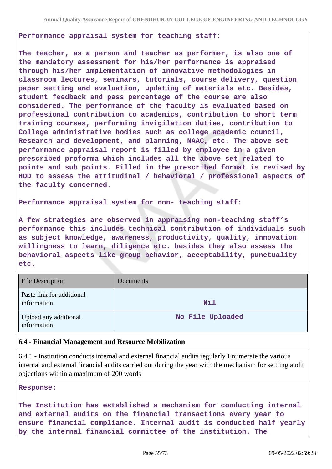### **Performance appraisal system for teaching staff:**

**The teacher, as a person and teacher as performer, is also one of the mandatory assessment for his/her performance is appraised through his/her implementation of innovative methodologies in classroom lectures, seminars, tutorials, course delivery, question paper setting and evaluation, updating of materials etc. Besides, student feedback and pass percentage of the course are also considered. The performance of the faculty is evaluated based on professional contribution to academics, contribution to short term training courses, performing invigilation duties, contribution to College administrative bodies such as college academic council, Research and development, and planning, NAAC, etc. The above set performance appraisal report is filled by employee in a given prescribed proforma which includes all the above set related to points and sub points. Filled in the prescribed format is revised by HOD to assess the attitudinal / behavioral / professional aspects of the faculty concerned.**

**Performance appraisal system for non- teaching staff:** 

**A few strategies are observed in appraising non-teaching staff's performance this includes technical contribution of individuals such as subject knowledge, awareness, productivity, quality, innovation willingness to learn, diligence etc. besides they also assess the behavioral aspects like group behavior, acceptability, punctuality etc.**

| <b>File Description</b>                  | Documents        |
|------------------------------------------|------------------|
| Paste link for additional<br>information | Nil              |
| Upload any additional<br>information     | No File Uploaded |

### **6.4 - Financial Management and Resource Mobilization**

6.4.1 - Institution conducts internal and external financial audits regularly Enumerate the various internal and external financial audits carried out during the year with the mechanism for settling audit objections within a maximum of 200 words

#### **Response:**

**The Institution has established a mechanism for conducting internal and external audits on the financial transactions every year to ensure financial compliance. Internal audit is conducted half yearly by the internal financial committee of the institution. The**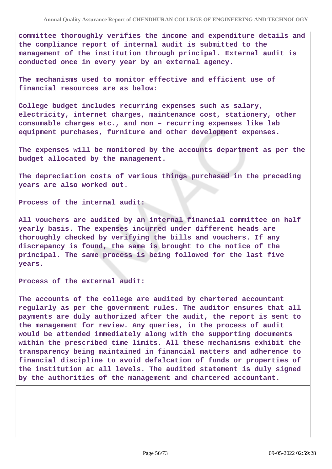**committee thoroughly verifies the income and expenditure details and the compliance report of internal audit is submitted to the management of the institution through principal. External audit is conducted once in every year by an external agency.**

**The mechanisms used to monitor effective and efficient use of financial resources are as below:** 

**College budget includes recurring expenses such as salary, electricity, internet charges, maintenance cost, stationery, other consumable charges etc., and non – recurring expenses like lab equipment purchases, furniture and other development expenses.**

**The expenses will be monitored by the accounts department as per the budget allocated by the management.**

**The depreciation costs of various things purchased in the preceding years are also worked out.**

**Process of the internal audit:**

**All vouchers are audited by an internal financial committee on half yearly basis. The expenses incurred under different heads are thoroughly checked by verifying the bills and vouchers. If any discrepancy is found, the same is brought to the notice of the principal. The same process is being followed for the last five years.**

**Process of the external audit:** 

**The accounts of the college are audited by chartered accountant regularly as per the government rules. The auditor ensures that all payments are duly authorized after the audit, the report is sent to the management for review. Any queries, in the process of audit would be attended immediately along with the supporting documents within the prescribed time limits. All these mechanisms exhibit the transparency being maintained in financial matters and adherence to financial discipline to avoid defalcation of funds or properties of the institution at all levels. The audited statement is duly signed by the authorities of the management and chartered accountant.**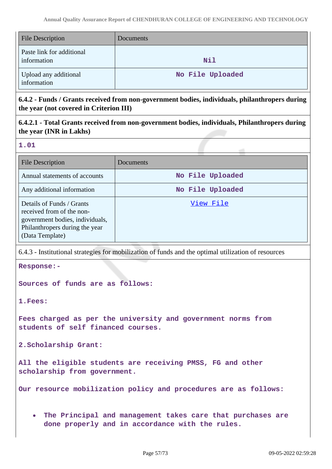| <b>File Description</b>                  | <b>Documents</b> |
|------------------------------------------|------------------|
| Paste link for additional<br>information | Nil              |
| Upload any additional<br>information     | No File Uploaded |

**6.4.2 - Funds / Grants received from non-government bodies, individuals, philanthropers during the year (not covered in Criterion III)**

**6.4.2.1 - Total Grants received from non-government bodies, individuals, Philanthropers during the year (INR in Lakhs)**

**1.01**

| File Description                                                                                                                               | Documents        |
|------------------------------------------------------------------------------------------------------------------------------------------------|------------------|
| Annual statements of accounts                                                                                                                  | No File Uploaded |
| Any additional information                                                                                                                     | No File Uploaded |
| Details of Funds / Grants<br>received from of the non-<br>government bodies, individuals,<br>Philanthropers during the year<br>(Data Template) | View File        |

6.4.3 - Institutional strategies for mobilization of funds and the optimal utilization of resources

**Response:-**

**Sources of funds are as follows:** 

**1.Fees:** 

**Fees charged as per the university and government norms from students of self financed courses.**

**2.Scholarship Grant:** 

**All the eligible students are receiving PMSS, FG and other scholarship from government.**

**Our resource mobilization policy and procedures are as follows:**

**The Principal and management takes care that purchases are**  $\bullet$ **done properly and in accordance with the rules.**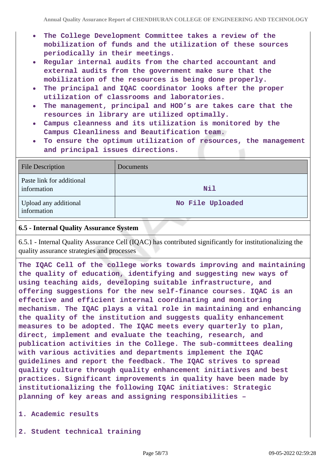- **The College Development Committee takes a review of the mobilization of funds and the utilization of these sources periodically in their meetings.**
- **Regular internal audits from the charted accountant and external audits from the government make sure that the mobilization of the resources is being done properly.**
- **The principal and IQAC coordinator looks after the proper utilization of classrooms and laboratories.**
- **The management, principal and HOD's are takes care that the resources in library are utilized optimally.**
- **Campus cleanness and its utilization is monitored by the Campus Cleanliness and Beautification team.**
- **To ensure the optimum utilization of resources, the management and principal issues directions.**

| <b>File Description</b>                  | Documents        |
|------------------------------------------|------------------|
| Paste link for additional<br>information | Nil              |
| Upload any additional<br>information     | No File Uploaded |

## **6.5 - Internal Quality Assurance System**

6.5.1 - Internal Quality Assurance Cell (IQAC) has contributed significantly for institutionalizing the quality assurance strategies and processes

**The IQAC Cell of the college works towards improving and maintaining the quality of education, identifying and suggesting new ways of using teaching aids, developing suitable infrastructure, and offering suggestions for the new self-finance courses. IQAC is an effective and efficient internal coordinating and monitoring mechanism. The IQAC plays a vital role in maintaining and enhancing the quality of the institution and suggests quality enhancement measures to be adopted. The IQAC meets every quarterly to plan, direct, implement and evaluate the teaching, research, and publication activities in the College. The sub-committees dealing with various activities and departments implement the IQAC guidelines and report the feedback. The IQAC strives to spread quality culture through quality enhancement initiatives and best practices. Significant improvements in quality have been made by institutionalizing the following IQAC initiatives: Strategic planning of key areas and assigning responsibilities –**

**1. Academic results**

**2. Student technical training**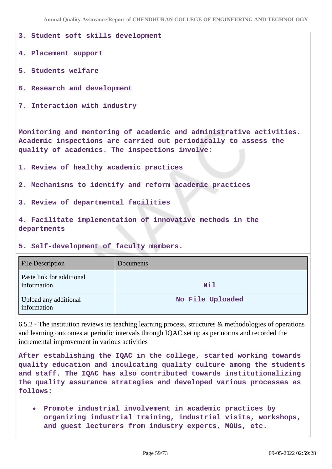**Annual Quality Assurance Report of CHENDHURAN COLLEGE OF ENGINEERING AND TECHNOLOGY**

```
3. Student soft skills development
4. Placement support
5. Students welfare
6. Research and development
7. Interaction with industry
Monitoring and mentoring of academic and administrative activities.
Academic inspections are carried out periodically to assess the
quality of academics. The inspections involve:
1. Review of healthy academic practices
2. Mechanisms to identify and reform academic practices
3. Review of departmental facilities
4. Facilitate implementation of innovative methods in the
departments
5. Self-development of faculty members.
```

| <b>File Description</b>                  | Documents        |
|------------------------------------------|------------------|
| Paste link for additional<br>information | Nil              |
| Upload any additional<br>information     | No File Uploaded |

6.5.2 - The institution reviews its teaching learning process, structures & methodologies of operations and learning outcomes at periodic intervals through IQAC set up as per norms and recorded the incremental improvement in various activities

**After establishing the IQAC in the college, started working towards quality education and inculcating quality culture among the students and staff. The IQAC has also contributed towards institutionalizing the quality assurance strategies and developed various processes as follows:**

**Promote industrial involvement in academic practices by organizing industrial training, industrial visits, workshops, and guest lecturers from industry experts, MOUs, etc.**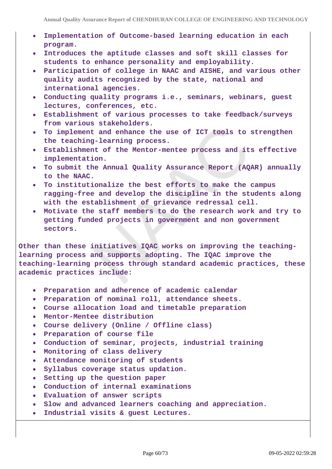- **Implementation of Outcome-based learning education in each program.**
- **Introduces the aptitude classes and soft skill classes for**  $\bullet$ **students to enhance personality and employability.**
- **Participation of college in NAAC and AISHE, and various other quality audits recognized by the state, national and international agencies.**
- $\bullet$ **Conducting quality programs i.e., seminars, webinars, guest lectures, conferences, etc.**
- **Establishment of various processes to take feedback/surveys from various stakeholders.**
- **To implement and enhance the use of ICT tools to strengthen**  $\bullet$ **the teaching-learning process.**
- **Establishment of the Mentor-mentee process and its effective implementation.**
- **To submit the Annual Quality Assurance Report (AQAR) annually to the NAAC.**
- **To institutionalize the best efforts to make the campus ragging-free and develop the discipline in the students along with the establishment of grievance redressal cell.**
- **Motivate the staff members to do the research work and try to getting funded projects in government and non government sectors.**

**Other than these initiatives IQAC works on improving the teachinglearning process and supports adopting. The IQAC improve the teaching-learning process through standard academic practices, these academic practices include:**

- **Preparation and adherence of academic calendar**  $\bullet$
- **Preparation of nominal roll, attendance sheets.**
- **Course allocation load and timetable preparation**
- **Mentor-Mentee distribution**  $\bullet$
- **Course delivery (Online / Offline class)**
- **Preparation of course file**  $\bullet$
- **Conduction of seminar, projects, industrial training**
- **Monitoring of class delivery**
- **Attendance monitoring of students**  $\bullet$
- **Syllabus coverage status updation.**  $\bullet$
- **Setting up the question paper**
- **Conduction of internal examinations**
- **Evaluation of answer scripts**
- **Slow and advanced learners coaching and appreciation.**  $\bullet$
- **Industrial visits & guest Lectures.**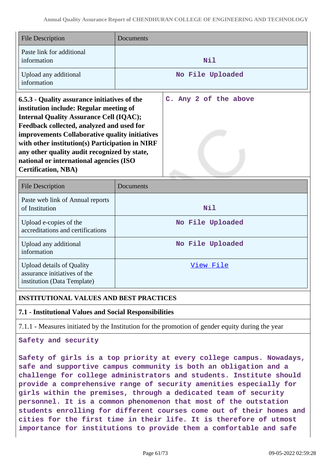| <b>File Description</b>                                                                                                                                                                                                                                                                                                                                                                                              | Documents        |                       |  |  |  |  |
|----------------------------------------------------------------------------------------------------------------------------------------------------------------------------------------------------------------------------------------------------------------------------------------------------------------------------------------------------------------------------------------------------------------------|------------------|-----------------------|--|--|--|--|
| Paste link for additional<br>information                                                                                                                                                                                                                                                                                                                                                                             | Nil              |                       |  |  |  |  |
| Upload any additional<br>information                                                                                                                                                                                                                                                                                                                                                                                 | No File Uploaded |                       |  |  |  |  |
| 6.5.3 - Quality assurance initiatives of the<br>institution include: Regular meeting of<br><b>Internal Quality Assurance Cell (IQAC);</b><br>Feedback collected, analyzed and used for<br>improvements Collaborative quality initiatives<br>with other institution(s) Participation in NIRF<br>any other quality audit recognized by state,<br>national or international agencies (ISO<br><b>Certification, NBA)</b> |                  | C. Any 2 of the above |  |  |  |  |

| <b>File Description</b>                                                                         | Documents        |
|-------------------------------------------------------------------------------------------------|------------------|
| Paste web link of Annual reports<br>of Institution                                              | Nil              |
| Upload e-copies of the<br>accreditations and certifications                                     | No File Uploaded |
| Upload any additional<br>information                                                            | No File Uploaded |
| <b>Upload details of Quality</b><br>assurance initiatives of the<br>institution (Data Template) | View File        |

## **INSTITUTIONAL VALUES AND BEST PRACTICES**

## **7.1 - Institutional Values and Social Responsibilities**

7.1.1 - Measures initiated by the Institution for the promotion of gender equity during the year

### **Safety and security**

**Safety of girls is a top priority at every college campus. Nowadays, safe and supportive campus community is both an obligation and a challenge for college administrators and students. Institute should provide a comprehensive range of security amenities especially for girls within the premises, through a dedicated team of security personnel. It is a common phenomenon that most of the outstation students enrolling for different courses come out of their homes and cities for the first time in their life. It is therefore of utmost importance for institutions to provide them a comfortable and safe**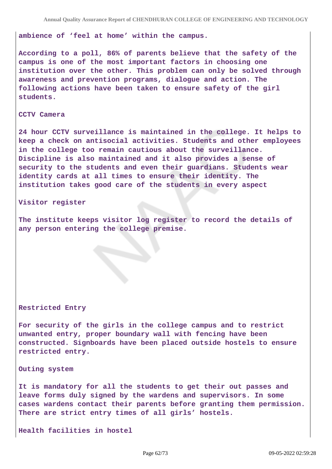**ambience of 'feel at home' within the campus.**

**According to a poll, 86% of parents believe that the safety of the campus is one of the most important factors in choosing one institution over the other. This problem can only be solved through awareness and prevention programs, dialogue and action. The following actions have been taken to ensure safety of the girl students.**

#### **CCTV Camera**

**24 hour CCTV surveillance is maintained in the college. It helps to keep a check on antisocial activities. Students and other employees in the college too remain cautious about the surveillance. Discipline is also maintained and it also provides a sense of security to the students and even their guardians. Students wear identity cards at all times to ensure their identity. The institution takes good care of the students in every aspect**

**Visitor register** 

**The institute keeps visitor log register to record the details of any person entering the college premise.**

#### **Restricted Entry**

**For security of the girls in the college campus and to restrict unwanted entry, proper boundary wall with fencing have been constructed. Signboards have been placed outside hostels to ensure restricted entry.**

**Outing system**

**It is mandatory for all the students to get their out passes and leave forms duly signed by the wardens and supervisors. In some cases wardens contact their parents before granting them permission. There are strict entry times of all girls' hostels.**

**Health facilities in hostel**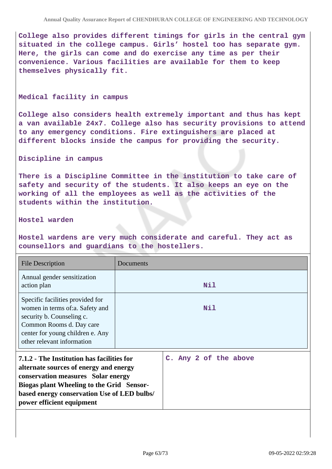**College also provides different timings for girls in the central gym situated in the college campus. Girls' hostel too has separate gym. Here, the girls can come and do exercise any time as per their convenience. Various facilities are available for them to keep themselves physically fit.**

#### **Medical facility in campus**

**College also considers health extremely important and thus has kept a van available 24x7. College also has security provisions to attend to any emergency conditions. Fire extinguishers are placed at different blocks inside the campus for providing the security.**

### **Discipline in campus**

**There is a Discipline Committee in the institution to take care of safety and security of the students. It also keeps an eye on the working of all the employees as well as the activities of the students within the institution.**

### **Hostel warden**

**Hostel wardens are very much considerate and careful. They act as counsellors and guardians to the hostellers.**

| <b>File Description</b>                                                                                                                                                                                                                             | Documents |                       |  |  |  |
|-----------------------------------------------------------------------------------------------------------------------------------------------------------------------------------------------------------------------------------------------------|-----------|-----------------------|--|--|--|
| Annual gender sensitization<br>action plan                                                                                                                                                                                                          | Nil       |                       |  |  |  |
| Specific facilities provided for<br>women in terms of: a. Safety and<br>security b. Counseling c.<br>Common Rooms d. Day care<br>center for young children e. Any<br>other relevant information                                                     | Nil       |                       |  |  |  |
| 7.1.2 - The Institution has facilities for<br>alternate sources of energy and energy<br>conservation measures Solar energy<br>Biogas plant Wheeling to the Grid Sensor-<br>based energy conservation Use of LED bulbs/<br>power efficient equipment |           | C. Any 2 of the above |  |  |  |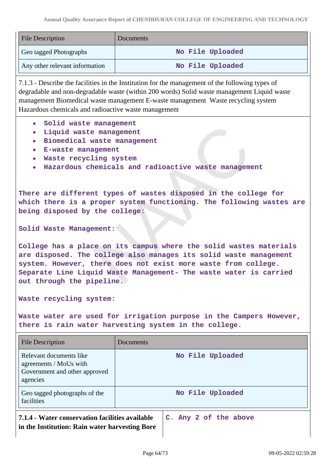| <b>File Description</b>        | Documents        |
|--------------------------------|------------------|
| Geo tagged Photographs         | No File Uploaded |
| Any other relevant information | No File Uploaded |

7.1.3 - Describe the facilities in the Institution for the management of the following types of degradable and non-degradable waste (within 200 words) Solid waste management Liquid waste management Biomedical waste management E-waste management Waste recycling system Hazardous chemicals and radioactive waste management

- **Solid waste management**
- **Liquid waste management**  $\bullet$
- **Biomedical waste management**
- **E-waste management**
- **Waste recycling system**
- **Hazardous chemicals and radioactive waste management**

**There are different types of wastes disposed in the college for which there is a proper system functioning. The following wastes are being disposed by the college:**

**Solid Waste Management:** 

**College has a place on its campus where the solid wastes materials are disposed. The college also manages its solid waste management system. However, there does not exist more waste from college. Separate Line Liquid Waste Management- The waste water is carried out through the pipeline.**

**Waste recycling system:**

**Waste water are used for irrigation purpose in the Campers However, there is rain water harvesting system in the college.**

| File Description                                                                                  | Documents             |  |  |  |
|---------------------------------------------------------------------------------------------------|-----------------------|--|--|--|
| Relevant documents like<br>agreements / MoUs with<br>Government and other approved<br>agencies    | No File Uploaded      |  |  |  |
| Geo tagged photographs of the<br>facilities                                                       | No File Uploaded      |  |  |  |
| 7.1.4 - Water conservation facilities available<br>in the Institution: Rain water harvesting Bore | C. Any 2 of the above |  |  |  |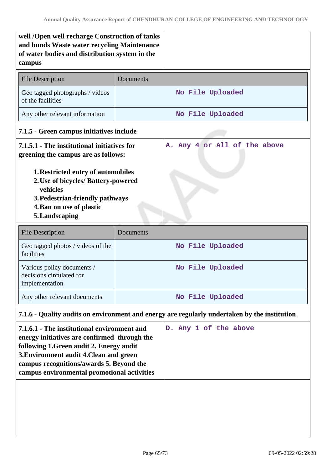**well /Open well recharge Construction of tanks and bunds Waste water recycling Maintenance of water bodies and distribution system in the campus**

| <b>File Description</b>                                                                                                                                                                                                                                                                             | Documents                                                                                    |  |  |  |  |  |
|-----------------------------------------------------------------------------------------------------------------------------------------------------------------------------------------------------------------------------------------------------------------------------------------------------|----------------------------------------------------------------------------------------------|--|--|--|--|--|
| Geo tagged photographs / videos<br>of the facilities                                                                                                                                                                                                                                                | No File Uploaded                                                                             |  |  |  |  |  |
| Any other relevant information                                                                                                                                                                                                                                                                      | No File Uploaded                                                                             |  |  |  |  |  |
| 7.1.5 - Green campus initiatives include                                                                                                                                                                                                                                                            |                                                                                              |  |  |  |  |  |
| 7.1.5.1 - The institutional initiatives for<br>A. Any 4 or All of the above<br>greening the campus are as follows:<br><b>1. Restricted entry of automobiles</b><br>2. Use of bicycles/ Battery-powered<br>vehicles<br>3. Pedestrian-friendly pathways<br>4. Ban on use of plastic<br>5. Landscaping |                                                                                              |  |  |  |  |  |
| <b>File Description</b>                                                                                                                                                                                                                                                                             | Documents                                                                                    |  |  |  |  |  |
| Geo tagged photos / videos of the<br>facilities                                                                                                                                                                                                                                                     | No File Uploaded                                                                             |  |  |  |  |  |
| Various policy documents /<br>decisions circulated for<br>implementation                                                                                                                                                                                                                            | No File Uploaded                                                                             |  |  |  |  |  |
| Any other relevant documents                                                                                                                                                                                                                                                                        | No File Uploaded                                                                             |  |  |  |  |  |
|                                                                                                                                                                                                                                                                                                     | 7.1.6 - Quality audits on environment and energy are regularly undertaken by the institution |  |  |  |  |  |

| 7.1.6.1 - The institutional environment and<br>energy initiatives are confirmed through the<br>following 1. Green audit 2. Energy audit |  |  | D. Any 1 of the above |
|-----------------------------------------------------------------------------------------------------------------------------------------|--|--|-----------------------|
| 3. Environment audit 4. Clean and green<br>campus recognitions/awards 5. Beyond the<br>campus environmental promotional activities      |  |  |                       |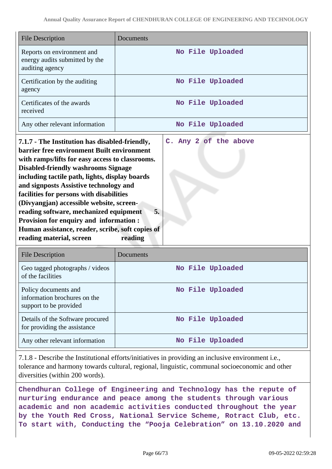| <b>File Description</b>                                                                                                                                                                                                                                | Documents             |  |  |  |  |
|--------------------------------------------------------------------------------------------------------------------------------------------------------------------------------------------------------------------------------------------------------|-----------------------|--|--|--|--|
| Reports on environment and<br>energy audits submitted by the<br>auditing agency                                                                                                                                                                        | No File Uploaded      |  |  |  |  |
| Certification by the auditing<br>agency                                                                                                                                                                                                                | No File Uploaded      |  |  |  |  |
| Certificates of the awards<br>received                                                                                                                                                                                                                 | No File Uploaded      |  |  |  |  |
| Any other relevant information                                                                                                                                                                                                                         | No File Uploaded      |  |  |  |  |
| 7.1.7 - The Institution has disabled-friendly,<br><b>barrier free environment Built environment</b><br>with ramps/lifts for easy access to classrooms.<br><b>Disabled-friendly washrooms Signage</b><br>including tactile path, lights, display boards | C. Any 2 of the above |  |  |  |  |

**and signposts Assistive technology and facilities for persons with disabilities (Divyangjan) accessible website, screen-**

**reading software, mechanized equipment 5. Provision for enquiry and information : Human assistance, reader, scribe, soft copies of reading material, screen reading**

| File Description                                                               | Documents        |
|--------------------------------------------------------------------------------|------------------|
| Geo tagged photographs / videos<br>of the facilities                           | No File Uploaded |
| Policy documents and<br>information brochures on the<br>support to be provided | No File Uploaded |
| Details of the Software procured<br>for providing the assistance               | No File Uploaded |
| Any other relevant information                                                 | No File Uploaded |

7.1.8 - Describe the Institutional efforts/initiatives in providing an inclusive environment i.e., tolerance and harmony towards cultural, regional, linguistic, communal socioeconomic and other diversities (within 200 words).

**Chendhuran College of Engineering and Technology has the repute of nurturing endurance and peace among the students through various academic and non academic activities conducted throughout the year by the Youth Red Cross, National Service Scheme, Rotract Club, etc. To start with, Conducting the "Pooja Celebration" on 13.10.2020 and**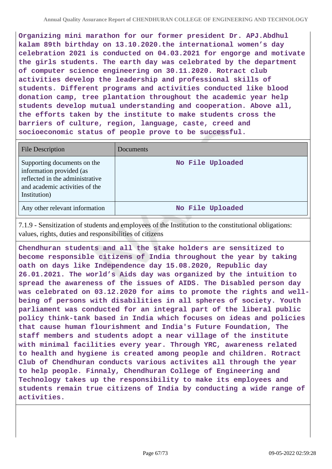**Organizing mini marathon for our former president Dr. APJ.Abdhul kalam 89th birthday on 13.10.2020.the international women's day celebration 2021 is conducted on 04.03.2021 for engorge and motivate the girls students. The earth day was celebrated by the department of computer science engineering on 30.11.2020. Rotract club activities develop the leadership and professional skills of students. Different programs and activities conducted like blood donation camp, tree plantation throughout the academic year help students develop mutual understanding and cooperation. Above all, the efforts taken by the institute to make students cross the barriers of culture, region, language, caste, creed and socioeconomic status of people prove to be successful.**

| <b>File Description</b>                                                                                                                      | Documents        |
|----------------------------------------------------------------------------------------------------------------------------------------------|------------------|
| Supporting documents on the<br>information provided (as<br>reflected in the administrative<br>and academic activities of the<br>Institution) | No File Uploaded |
| Any other relevant information                                                                                                               | No File Uploaded |

7.1.9 - Sensitization of students and employees of the Institution to the constitutional obligations: values, rights, duties and responsibilities of citizens

**Chendhuran students and all the stake holders are sensitized to become responsible citizens of India throughout the year by taking oath on days like Independence day 15.08.2020, Republic day 26.01.2021. The world's Aids day was organized by the intuition to spread the awareness of the issues of AIDS. The Disabled person day was celebrated on 03.12.2020 for aims to promote the rights and wellbeing of persons with disabilities in all spheres of society. Youth parliament was conducted for an integral part of the liberal public policy think-tank based in India which focuses on ideas and policies that cause human flourishment and India's Future Foundation, The staff members and students adopt a near village of the institute with minimal facilities every year. Through YRC, awareness related to health and hygiene is created among people and children. Rotract Club of Chendhuran conducts various activites all through the year to help people. Finnaly, Chendhuran College of Engineering and Technology takes up the responsibility to make its employees and students remain true citizens of India by conducting a wide range of activities.**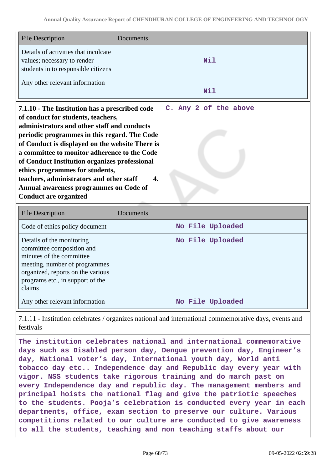| <b>File Description</b>                                                                                                                                                                                                                                                                                                                                                                                                                                                                                                         | Documents        |  |
|---------------------------------------------------------------------------------------------------------------------------------------------------------------------------------------------------------------------------------------------------------------------------------------------------------------------------------------------------------------------------------------------------------------------------------------------------------------------------------------------------------------------------------|------------------|--|
| Details of activities that inculcate<br>values; necessary to render<br>students in to responsible citizens                                                                                                                                                                                                                                                                                                                                                                                                                      | Nil              |  |
| Any other relevant information                                                                                                                                                                                                                                                                                                                                                                                                                                                                                                  | <b>Nil</b>       |  |
| C. Any 2 of the above<br>7.1.10 - The Institution has a prescribed code<br>of conduct for students, teachers,<br>administrators and other staff and conducts<br>periodic programmes in this regard. The Code<br>of Conduct is displayed on the website There is<br>a committee to monitor adherence to the Code<br>of Conduct Institution organizes professional<br>ethics programmes for students,<br>teachers, administrators and other staff<br>4.<br>Annual awareness programmes on Code of<br><b>Conduct are organized</b> |                  |  |
| <b>File Description</b>                                                                                                                                                                                                                                                                                                                                                                                                                                                                                                         | Documents        |  |
| Code of ethics policy document                                                                                                                                                                                                                                                                                                                                                                                                                                                                                                  | No File Uploaded |  |
| Details of the monitoring<br>committee composition and<br>minutes of the committee<br>meeting, number of programmes<br>organized, reports on the various<br>programs etc., in support of the<br>claims                                                                                                                                                                                                                                                                                                                          | No File Uploaded |  |
|                                                                                                                                                                                                                                                                                                                                                                                                                                                                                                                                 |                  |  |

7.1.11 - Institution celebrates / organizes national and international commemorative days, events and festivals

**The institution celebrates national and international commemorative days such as Disabled person day, Dengue prevention day, Engineer's day, National voter's day, International youth day, World anti tobacco day etc.. Independence day and Republic day every year with vigor. NSS students take rigorous training and do march past on every Independence day and republic day. The management members and principal hoists the national flag and give the patriotic speeches to the students. Pooja's celebration is conducted every year in each departments, office, exam section to preserve our culture. Various competitions related to our culture are conducted to give awareness to all the students, teaching and non teaching staffs about our**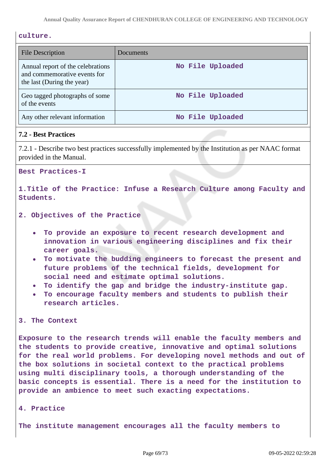### **culture.**

| <b>File Description</b>                                                                         | Documents        |
|-------------------------------------------------------------------------------------------------|------------------|
| Annual report of the celebrations<br>and commemorative events for<br>the last (During the year) | No File Uploaded |
| Geo tagged photographs of some<br>of the events                                                 | No File Uploaded |
| Any other relevant information                                                                  | No File Uploaded |

## **7.2 - Best Practices**

7.2.1 - Describe two best practices successfully implemented by the Institution as per NAAC format provided in the Manual.

**Best Practices-I**

**1.Title of the Practice: Infuse a Research Culture among Faculty and Students.**

- **2. Objectives of the Practice**
	- **To provide an exposure to recent research development and innovation in various engineering disciplines and fix their career goals.**
	- **To motivate the budding engineers to forecast the present and future problems of the technical fields, development for social need and estimate optimal solutions.**
	- **To identify the gap and bridge the industry-institute gap.**
	- **To encourage faculty members and students to publish their research articles.**

### **3. The Context**

**Exposure to the research trends will enable the faculty members and the students to provide creative, innovative and optimal solutions for the real world problems. For developing novel methods and out of the box solutions in societal context to the practical problems using multi disciplinary tools, a thorough understanding of the basic concepts is essential. There is a need for the institution to provide an ambience to meet such exacting expectations.**

**4. Practice**

**The institute management encourages all the faculty members to**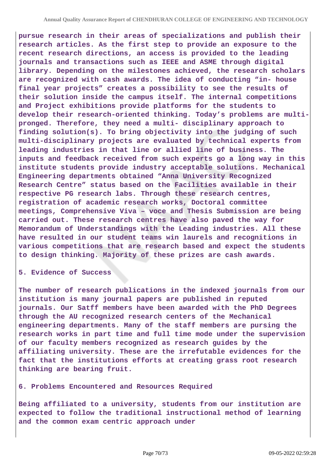**pursue research in their areas of specializations and publish their research articles. As the first step to provide an exposure to the recent research directions, an access is provided to the leading journals and transactions such as IEEE and ASME through digital library. Depending on the milestones achieved, the research scholars are recognized with cash awards. The idea of conducting "in- house final year projects" creates a possibility to see the results of their solution inside the campus itself. The internal competitions and Project exhibitions provide platforms for the students to develop their research-oriented thinking. Today's problems are multipronged. Therefore, they need a multi- disciplinary approach to finding solution(s). To bring objectivity into the judging of such multi-disciplinary projects are evaluated by technical experts from leading industries in that line or allied line of business. The inputs and feedback received from such experts go a long way in this institute students provide industry acceptable solutions. Mechanical Engineering departments obtained "Anna University Recognized Research Centre" status based on the Facilities available in their respective PG research labs. Through these research centres, registration of academic research works, Doctoral committee meetings, Comprehensive Viva – voce and Thesis Submission are being carried out. These research centres have also paved the way for Memorandum of Understandings with the Leading industries. All these have resulted in our student teams win laurels and recognitions in various competitions that are research based and expect the students to design thinking. Majority of these prizes are cash awards.**

### **5. Evidence of Success**

**The number of research publications in the indexed journals from our institution is many journal papers are published in reputed journals. Our Satff members have been awarded with the PhD Degrees through the AU recognized research centers of the Mechanical engineering departments. Many of the staff members are pursing the research works in part time and full time mode under the supervision of our faculty members recognized as research guides by the affiliating university. These are the irrefutable evidences for the fact that the institutions efforts at creating grass root research thinking are bearing fruit.**

### **6. Problems Encountered and Resources Required**

**Being affiliated to a university, students from our institution are expected to follow the traditional instructional method of learning and the common exam centric approach under**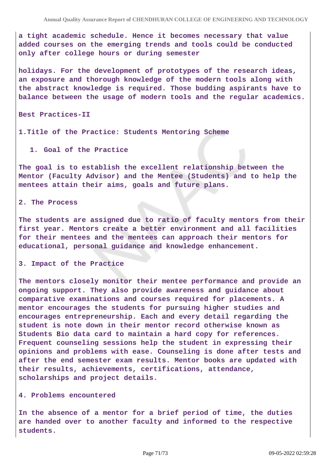**a tight academic schedule. Hence it becomes necessary that value added courses on the emerging trends and tools could be conducted only after college hours or during semester**

**holidays. For the development of prototypes of the research ideas, an exposure and thorough knowledge of the modern tools along with the abstract knowledge is required. Those budding aspirants have to balance between the usage of modern tools and the regular academics.**

**Best Practices-II**

**1.Title of the Practice: Students Mentoring Scheme**

**1. Goal of the Practice**

**The goal is to establish the excellent relationship between the Mentor (Faculty Advisor) and the Mentee (Students) and to help the mentees attain their aims, goals and future plans.**

**2. The Process**

**The students are assigned due to ratio of faculty mentors from their first year. Mentors create a better environment and all facilities for their mentees and the mentees can approach their mentors for educational, personal guidance and knowledge enhancement.**

**3. Impact of the Practice**

**The mentors closely monitor their mentee performance and provide an ongoing support. They also provide awareness and guidance about comparative examinations and courses required for placements. A mentor encourages the students for pursuing higher studies and encourages entrepreneurship. Each and every detail regarding the student is note down in their mentor record otherwise known as Students Bio data card to maintain a hard copy for references. Frequent counseling sessions help the student in expressing their opinions and problems with ease. Counseling is done after tests and after the end semester exam results. Mentor books are updated with their results, achievements, certifications, attendance, scholarships and project details.**

#### **4. Problems encountered**

**In the absence of a mentor for a brief period of time, the duties are handed over to another faculty and informed to the respective students.**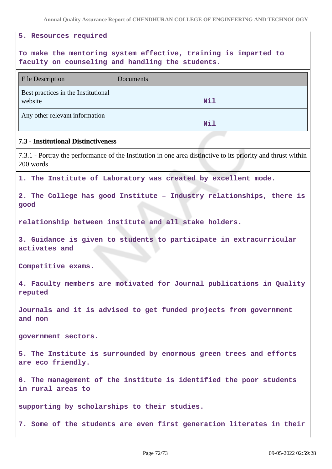**Annual Quality Assurance Report of CHENDHURAN COLLEGE OF ENGINEERING AND TECHNOLOGY**

### **5. Resources required**

# **To make the mentoring system effective, training is imparted to faculty on counseling and handling the students.**

| <b>File Description</b>                                                                                                   | Documents |  |
|---------------------------------------------------------------------------------------------------------------------------|-----------|--|
| Best practices in the Institutional<br>website                                                                            | Nil       |  |
| Any other relevant information                                                                                            | Nil       |  |
| <b>7.3 - Institutional Distinctiveness</b>                                                                                |           |  |
| 7.3.1 - Portray the performance of the Institution in one area distinctive to its priority and thrust within<br>200 words |           |  |
| 1. The Institute of Laboratory was created by excellent mode.                                                             |           |  |
| 2. The College has good Institute - Industry relationships, there is<br>good                                              |           |  |
| relationship between institute and all stake holders.                                                                     |           |  |
| 3. Guidance is given to students to participate in extracurricular<br>activates and                                       |           |  |
| Competitive exams.                                                                                                        |           |  |
| 4. Faculty members are motivated for Journal publications in Quality<br>reputed                                           |           |  |
| Journals and it is advised to get funded projects from government<br>and non                                              |           |  |
| government sectors.                                                                                                       |           |  |
| 5. The Institute is surrounded by enormous green trees and efforts<br>are eco friendly.                                   |           |  |
| 6. The management of the institute is identified the poor students<br>in rural areas to                                   |           |  |
| supporting by scholarships to their studies.                                                                              |           |  |

**7. Some of the students are even first generation literates in their**